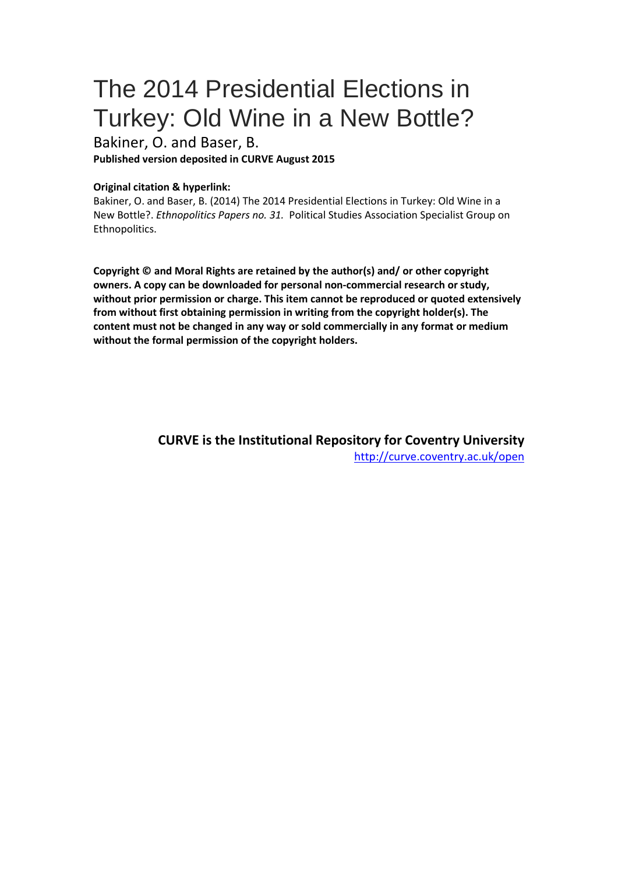# The 2014 Presidential Elections in Turkey: Old Wine in a New Bottle?

Bakiner, O. and Baser, B. **Published version deposited in CURVE August 2015**

#### **Original citation & hyperlink:**

Bakiner, O. and Baser, B. (2014) The 2014 Presidential Elections in Turkey: Old Wine in a New Bottle?. *Ethnopolitics Papers no. 31.* Political Studies Association Specialist Group on Ethnopolitics.

**Copyright © and Moral Rights are retained by the author(s) and/ or other copyright owners. A copy can be downloaded for personal non-commercial research or study, without prior permission or charge. This item cannot be reproduced or quoted extensively from without first obtaining permission in writing from the copyright holder(s). The content must not be changed in any way or sold commercially in any format or medium without the formal permission of the copyright holders.** 

> **CURVE is the Institutional Repository for Coventry University** <http://curve.coventry.ac.uk/open>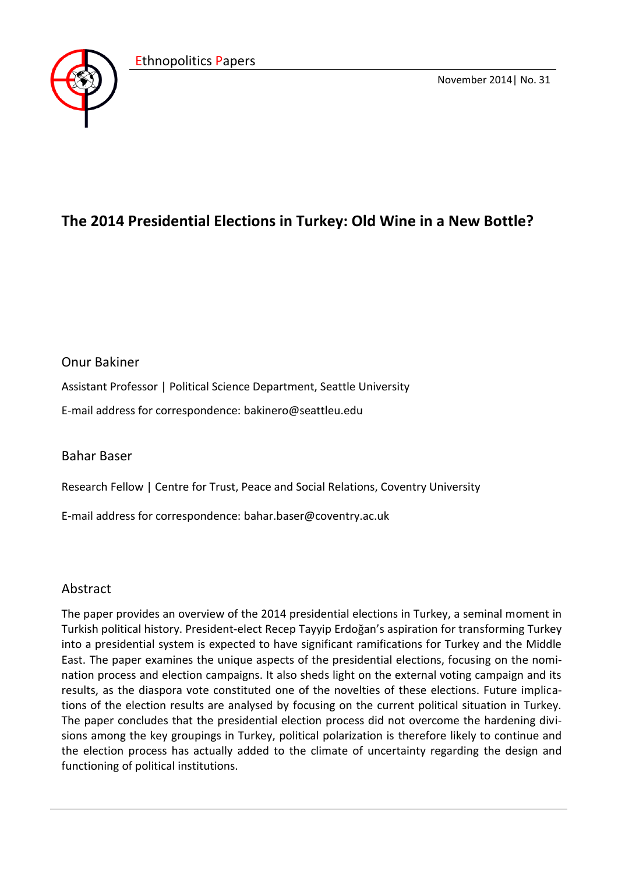

November 2014| No. 31

# **The 2014 Presidential Elections in Turkey: Old Wine in a New Bottle?**

# Onur Bakiner

Assistant Professor | Political Science Department, Seattle University

E-mail address for correspondence: bakinero@seattleu.edu

# Bahar Baser

Research Fellow | Centre for Trust, Peace and Social Relations, Coventry University

E-mail address for correspondence: bahar.baser@coventry.ac.uk

# Abstract

The paper provides an overview of the 2014 presidential elections in Turkey, a seminal moment in Turkish political history. President-elect Recep Tayyip Erdoğan's aspiration for transforming Turkey into a presidential system is expected to have significant ramifications for Turkey and the Middle East. The paper examines the unique aspects of the presidential elections, focusing on the nomination process and election campaigns. It also sheds light on the external voting campaign and its results, as the diaspora vote constituted one of the novelties of these elections. Future implications of the election results are analysed by focusing on the current political situation in Turkey. The paper concludes that the presidential election process did not overcome the hardening divisions among the key groupings in Turkey, political polarization is therefore likely to continue and the election process has actually added to the climate of uncertainty regarding the design and functioning of political institutions.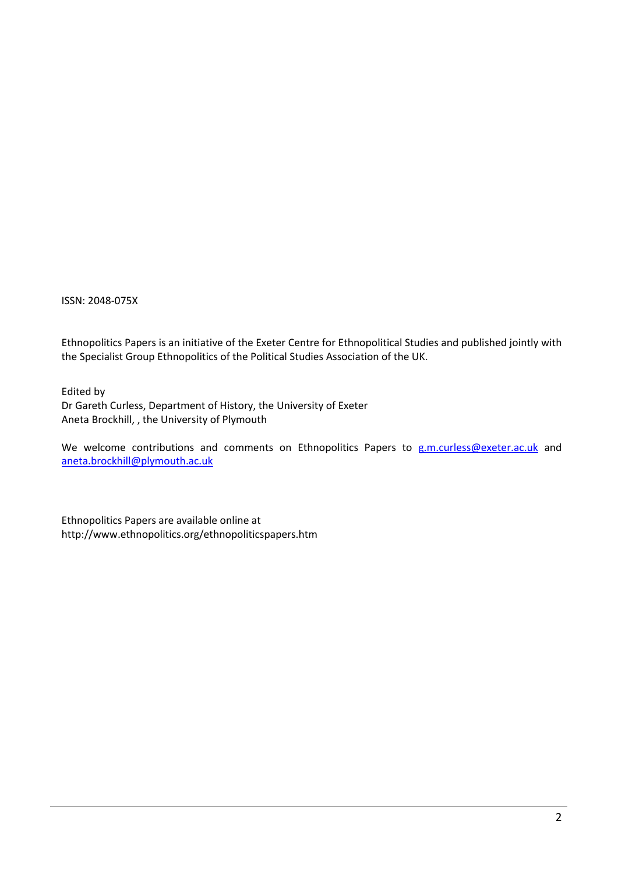ISSN: 2048-075X

Ethnopolitics Papers is an initiative of the Exeter Centre for Ethnopolitical Studies and published jointly with the Specialist Group Ethnopolitics of the Political Studies Association of the UK.

Edited by Dr Gareth Curless, Department of History, the University of Exeter Aneta Brockhill, , the University of Plymouth

We welcome contributions and comments on Ethnopolitics Papers to [g.m.curless@exeter.ac.uk](mailto:g.m.curless@exeter.ac.uk) and [aneta.brockhill@plymouth.ac.uk](mailto:aneta.brockhill@plymouth.ac.uk)

Ethnopolitics Papers are available online at http://www.ethnopolitics.org/ethnopoliticspapers.htm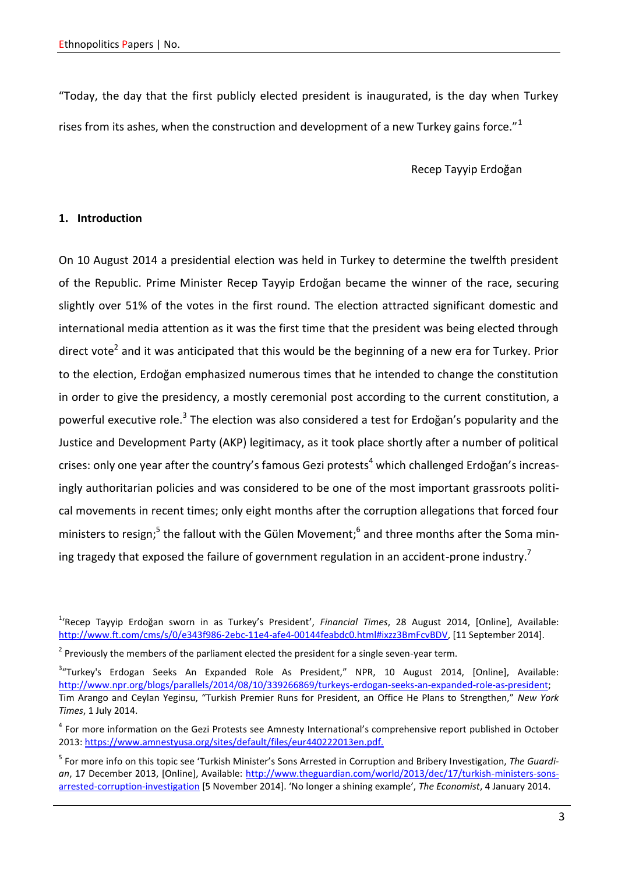"Today, the day that the first publicly elected president is inaugurated, is the day when Turkey rises from its ashes, when the construction and development of a new Turkey gains force."<sup>1</sup>

Recep Tayyip Erdoğan

# **1. Introduction**

On 10 August 2014 a presidential election was held in Turkey to determine the twelfth president of the Republic. Prime Minister Recep Tayyip Erdoğan became the winner of the race, securing slightly over 51% of the votes in the first round. The election attracted significant domestic and international media attention as it was the first time that the president was being elected through direct vote<sup>2</sup> and it was anticipated that this would be the beginning of a new era for Turkey. Prior to the election, Erdoğan emphasized numerous times that he intended to change the constitution in order to give the presidency, a mostly ceremonial post according to the current constitution, a powerful executive role.<sup>3</sup> The election was also considered a test for Erdoğan's popularity and the Justice and Development Party (AKP) legitimacy, as it took place shortly after a number of political crises: only one year after the country's famous Gezi protests<sup>4</sup> which challenged Erdoğan's increasingly authoritarian policies and was considered to be one of the most important grassroots political movements in recent times; only eight months after the corruption allegations that forced four ministers to resign;<sup>5</sup> the fallout with the Gülen Movement;<sup>6</sup> and three months after the Soma mining tragedy that exposed the failure of government regulation in an accident-prone industry.<sup>7</sup>

<sup>1</sup> 'Recep Tayyip Erdoğan sworn in as Turkey's President', *Financial Times*, 28 August 2014, [Online], Available: [http://www.ft.com/cms/s/0/e343f986-2ebc-11e4-afe4-00144feabdc0.html#ixzz3BmFcvBDV,](http://www.ft.com/cms/s/0/e343f986-2ebc-11e4-afe4-00144feabdc0.html%23ixzz3BmFcvBDV) [11 September 2014].

 $2$  Previously the members of the parliament elected the president for a single seven-year term.

<sup>&</sup>lt;sup>3</sup>"Turkey's Erdogan Seeks An Expanded Role As President," NPR, 10 August 2014, [Online], Available: [http://www.npr.org/blogs/parallels/2014/08/10/339266869/turkeys-erdogan-seeks-an-expanded-role-as-president;](http://www.npr.org/blogs/parallels/2014/08/10/339266869/turkeys-erdogan-seeks-an-expanded-role-as-president) Tim Arango and Ceylan Yeginsu, "Turkish Premier Runs for President, an Office He Plans to Strengthen," *New York Times*, 1 July 2014.

<sup>&</sup>lt;sup>4</sup> For more information on the Gezi Protests see Amnesty International's comprehensive report published in October 2013:<https://www.amnestyusa.org/sites/default/files/eur440222013en.pdf.>

<sup>5</sup> For more info on this topic see 'Turkish Minister's Sons Arrested in Corruption and Bribery Investigation, *The Guardian*, 17 December 2013, [Online], Available: [http://www.theguardian.com/world/2013/dec/17/turkish-ministers-sons](http://www.theguardian.com/world/2013/dec/17/turkish-ministers-sons-arrested-corruption-investigation)[arrested-corruption-investigation](http://www.theguardian.com/world/2013/dec/17/turkish-ministers-sons-arrested-corruption-investigation) [5 November 2014]. 'No longer a shining example', *The Economist*, 4 January 2014.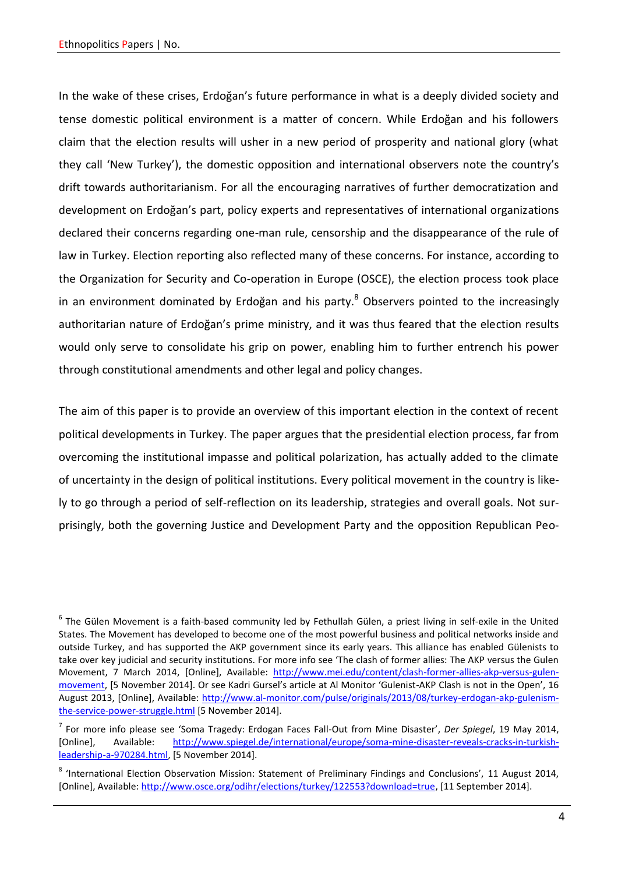In the wake of these crises, Erdoğan's future performance in what is a deeply divided society and tense domestic political environment is a matter of concern. While Erdoğan and his followers claim that the election results will usher in a new period of prosperity and national glory (what they call 'New Turkey'), the domestic opposition and international observers note the country's drift towards authoritarianism. For all the encouraging narratives of further democratization and development on Erdoğan's part, policy experts and representatives of international organizations declared their concerns regarding one-man rule, censorship and the disappearance of the rule of law in Turkey. Election reporting also reflected many of these concerns. For instance, according to the Organization for Security and Co-operation in Europe (OSCE), the election process took place in an environment dominated by Erdoğan and his party. $8$  Observers pointed to the increasingly authoritarian nature of Erdoğan's prime ministry, and it was thus feared that the election results would only serve to consolidate his grip on power, enabling him to further entrench his power through constitutional amendments and other legal and policy changes.

The aim of this paper is to provide an overview of this important election in the context of recent political developments in Turkey. The paper argues that the presidential election process, far from overcoming the institutional impasse and political polarization, has actually added to the climate of uncertainty in the design of political institutions. Every political movement in the country is likely to go through a period of self-reflection on its leadership, strategies and overall goals. Not surprisingly, both the governing Justice and Development Party and the opposition Republican Peo-

 $^6$  The Gülen Movement is a faith-based community led by Fethullah Gülen, a priest living in self-exile in the United States. The Movement has developed to become one of the most powerful business and political networks inside and outside Turkey, and has supported the AKP government since its early years. This alliance has enabled Gülenists to take over key judicial and security institutions. For more info see 'The clash of former allies: The AKP versus the Gulen Movement, 7 March 2014, [Online], Available: [http://www.mei.edu/content/clash-former-allies-akp-versus-gulen](http://www.mei.edu/content/clash-former-allies-akp-versus-gulen-movement)[movement,](http://www.mei.edu/content/clash-former-allies-akp-versus-gulen-movement) [5 November 2014]. Or see Kadri Gursel's article at Al Monitor 'Gulenist-AKP Clash is not in the Open', 16 August 2013, [Online], Available: [http://www.al-monitor.com/pulse/originals/2013/08/turkey-erdogan-akp-gulenism](http://www.al-monitor.com/pulse/originals/2013/08/turkey-erdogan-akp-gulenism-the-service-power-struggle.html)[the-service-power-struggle.html](http://www.al-monitor.com/pulse/originals/2013/08/turkey-erdogan-akp-gulenism-the-service-power-struggle.html) [5 November 2014].

<sup>7</sup> For more info please see 'Soma Tragedy: Erdogan Faces Fall-Out from Mine Disaster', *Der Spiegel*, 19 May 2014, [Online], Available: [http://www.spiegel.de/international/europe/soma-mine-disaster-reveals-cracks-in-turkish](http://www.spiegel.de/international/europe/soma-mine-disaster-reveals-cracks-in-turkish-leadership-a-970284.html)[leadership-a-970284.html,](http://www.spiegel.de/international/europe/soma-mine-disaster-reveals-cracks-in-turkish-leadership-a-970284.html) [5 November 2014].

<sup>&</sup>lt;sup>8</sup> 'International Election Observation Mission: Statement of Preliminary Findings and Conclusions', 11 August 2014, [Online], Available: [http://www.osce.org/odihr/elections/turkey/122553?download=true,](http://www.osce.org/odihr/elections/turkey/122553?download=true) [11 September 2014].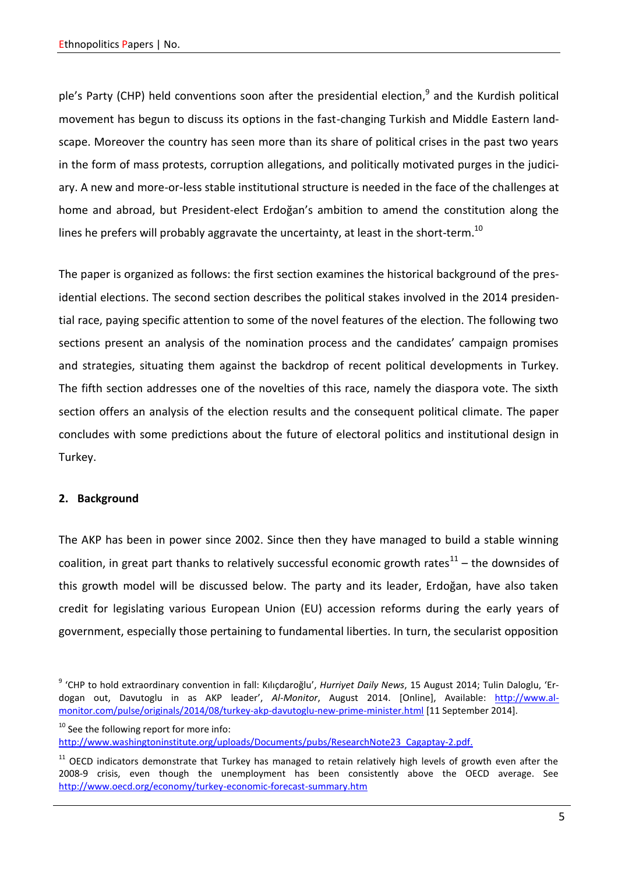ple's Party (CHP) held conventions soon after the presidential election,<sup>9</sup> and the Kurdish political movement has begun to discuss its options in the fast-changing Turkish and Middle Eastern landscape. Moreover the country has seen more than its share of political crises in the past two years in the form of mass protests, corruption allegations, and politically motivated purges in the judiciary. A new and more-or-less stable institutional structure is needed in the face of the challenges at home and abroad, but President-elect Erdoğan's ambition to amend the constitution along the lines he prefers will probably aggravate the uncertainty, at least in the short-term.<sup>10</sup>

The paper is organized as follows: the first section examines the historical background of the presidential elections. The second section describes the political stakes involved in the 2014 presidential race, paying specific attention to some of the novel features of the election. The following two sections present an analysis of the nomination process and the candidates' campaign promises and strategies, situating them against the backdrop of recent political developments in Turkey. The fifth section addresses one of the novelties of this race, namely the diaspora vote. The sixth section offers an analysis of the election results and the consequent political climate. The paper concludes with some predictions about the future of electoral politics and institutional design in Turkey.

# **2. Background**

The AKP has been in power since 2002. Since then they have managed to build a stable winning coalition, in great part thanks to relatively successful economic growth rates $^{11}$  – the downsides of this growth model will be discussed below. The party and its leader, Erdoğan, have also taken credit for legislating various European Union (EU) accession reforms during the early years of government, especially those pertaining to fundamental liberties. In turn, the secularist opposition

<sup>9</sup> 'CHP to hold extraordinary convention in fall: Kılıçdaroğlu', *Hurriyet Daily News*, 15 August 2014; Tulin Daloglu, 'Erdogan out, Davutoglu in as AKP leader', *Al-Monitor*, August 2014. [Online], Available: [http://www.al](http://www.al-monitor.com/pulse/originals/2014/08/turkey-akp-davutoglu-new-prime-minister.html)[monitor.com/pulse/originals/2014/08/turkey-akp-davutoglu-new-prime-minister.html](http://www.al-monitor.com/pulse/originals/2014/08/turkey-akp-davutoglu-new-prime-minister.html) [11 September 2014].

<sup>&</sup>lt;sup>10</sup> See the following report for more info: [http://www.washingtoninstitute.org/uploads/Documents/pubs/ResearchNote23\\_Cagaptay-2.pdf.](http://www.washingtoninstitute.org/uploads/Documents/pubs/ResearchNote23_Cagaptay-2.pdf.)

 $11$  OECD indicators demonstrate that Turkey has managed to retain relatively high levels of growth even after the 2008-9 crisis, even though the unemployment has been consistently above the OECD average. See <http://www.oecd.org/economy/turkey-economic-forecast-summary.htm>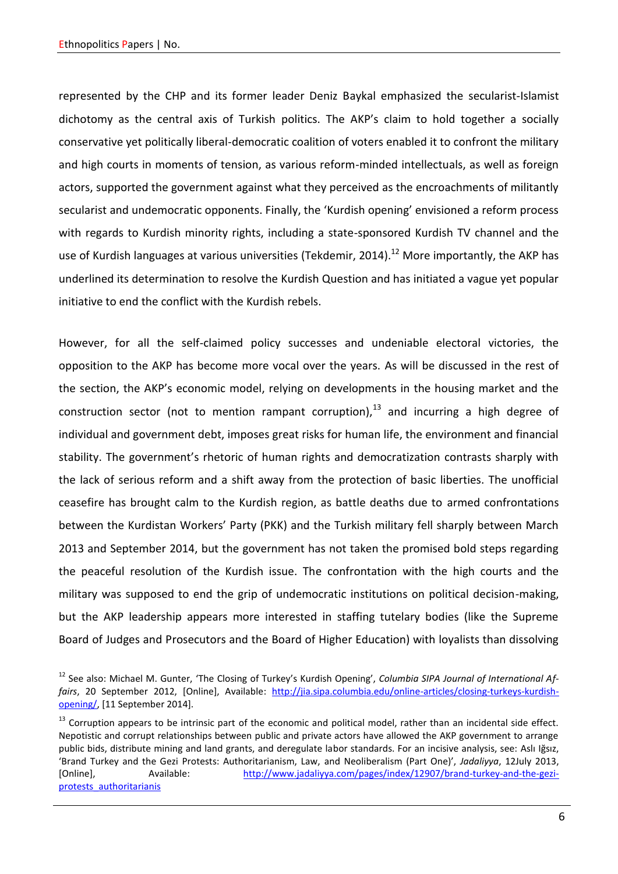represented by the CHP and its former leader Deniz Baykal emphasized the secularist-Islamist dichotomy as the central axis of Turkish politics. The AKP's claim to hold together a socially conservative yet politically liberal-democratic coalition of voters enabled it to confront the military and high courts in moments of tension, as various reform-minded intellectuals, as well as foreign actors, supported the government against what they perceived as the encroachments of militantly secularist and undemocratic opponents. Finally, the 'Kurdish opening' envisioned a reform process with regards to Kurdish minority rights, including a state-sponsored Kurdish TV channel and the use of Kurdish languages at various universities (Tekdemir, 2014).<sup>12</sup> More importantly, the AKP has underlined its determination to resolve the Kurdish Question and has initiated a vague yet popular initiative to end the conflict with the Kurdish rebels.

However, for all the self-claimed policy successes and undeniable electoral victories, the opposition to the AKP has become more vocal over the years. As will be discussed in the rest of the section, the AKP's economic model, relying on developments in the housing market and the construction sector (not to mention rampant corruption), $^{13}$  and incurring a high degree of individual and government debt, imposes great risks for human life, the environment and financial stability. The government's rhetoric of human rights and democratization contrasts sharply with the lack of serious reform and a shift away from the protection of basic liberties. The unofficial ceasefire has brought calm to the Kurdish region, as battle deaths due to armed confrontations between the Kurdistan Workers' Party (PKK) and the Turkish military fell sharply between March 2013 and September 2014, but the government has not taken the promised bold steps regarding the peaceful resolution of the Kurdish issue. The confrontation with the high courts and the military was supposed to end the grip of undemocratic institutions on political decision-making, but the AKP leadership appears more interested in staffing tutelary bodies (like the Supreme Board of Judges and Prosecutors and the Board of Higher Education) with loyalists than dissolving

<sup>&</sup>lt;sup>12</sup> See also: Michael M. Gunter, 'The Closing of Turkey's Kurdish Opening', *Columbia SIPA Journal of International Affairs*, 20 September 2012, [Online], Available: [http://jia.sipa.columbia.edu/online-articles/closing-turkeys-kurdish](http://jia.sipa.columbia.edu/online-articles/closing-turkeys-kurdish-opening/)[opening/,](http://jia.sipa.columbia.edu/online-articles/closing-turkeys-kurdish-opening/) [11 September 2014].

 $13$  Corruption appears to be intrinsic part of the economic and political model, rather than an incidental side effect. Nepotistic and corrupt relationships between public and private actors have allowed the AKP government to arrange public bids, distribute mining and land grants, and deregulate labor standards. For an incisive analysis, see: Aslı Iğsız, 'Brand Turkey and the Gezi Protests: Authoritarianism, Law, and Neoliberalism (Part One)', *Jadaliyya*, 12July 2013, [Online], Available: [http://www.jadaliyya.com/pages/index/12907/brand-turkey-and-the-gezi](http://www.jadaliyya.com/pages/index/12907/brand-turkey-and-the-gezi-protests_authoritarianis)[protests\\_authoritarianis](http://www.jadaliyya.com/pages/index/12907/brand-turkey-and-the-gezi-protests_authoritarianis)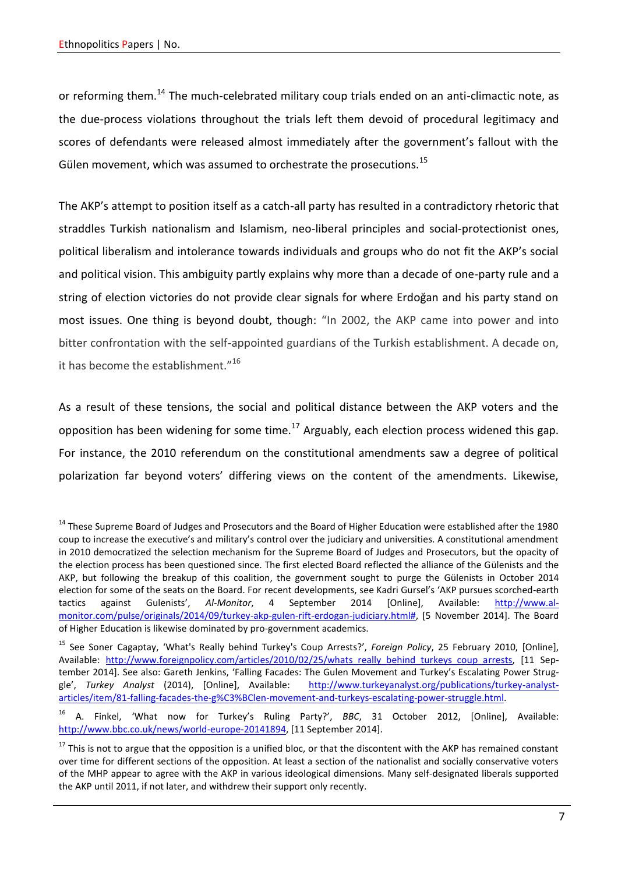or reforming them.<sup>14</sup> The much-celebrated military coup trials ended on an anti-climactic note, as the due-process violations throughout the trials left them devoid of procedural legitimacy and scores of defendants were released almost immediately after the government's fallout with the Gülen movement, which was assumed to orchestrate the prosecutions.<sup>15</sup>

The AKP's attempt to position itself as a catch-all party has resulted in a contradictory rhetoric that straddles Turkish nationalism and Islamism, neo-liberal principles and social-protectionist ones, political liberalism and intolerance towards individuals and groups who do not fit the AKP's social and political vision. This ambiguity partly explains why more than a decade of one-party rule and a string of election victories do not provide clear signals for where Erdoğan and his party stand on most issues. One thing is beyond doubt, though: "In 2002, the AKP came into power and into bitter confrontation with the self-appointed guardians of the Turkish establishment. A decade on, it has become the establishment."<sup>16</sup>

As a result of these tensions, the social and political distance between the AKP voters and the opposition has been widening for some time.<sup>17</sup> Arguably, each election process widened this gap. For instance, the 2010 referendum on the constitutional amendments saw a degree of political polarization far beyond voters' differing views on the content of the amendments. Likewise,

<sup>&</sup>lt;sup>14</sup> These Supreme Board of Judges and Prosecutors and the Board of Higher Education were established after the 1980 coup to increase the executive's and military's control over the judiciary and universities. A constitutional amendment in 2010 democratized the selection mechanism for the Supreme Board of Judges and Prosecutors, but the opacity of the election process has been questioned since. The first elected Board reflected the alliance of the Gülenists and the AKP, but following the breakup of this coalition, the government sought to purge the Gülenists in October 2014 election for some of the seats on the Board. For recent developments, see Kadri Gursel's 'AKP pursues scorched-earth tactics against Gulenists', *Al-Monitor*, 4 September 2014 [Online], Available: [http://www.al](http://www.al-monitor.com/pulse/originals/2014/09/turkey-akp-gulen-rift-erdogan-judiciary.html)[monitor.com/pulse/originals/2014/09/turkey-akp-gulen-rift-erdogan-judiciary.html#,](http://www.al-monitor.com/pulse/originals/2014/09/turkey-akp-gulen-rift-erdogan-judiciary.html) [5 November 2014]. The Board of Higher Education is likewise dominated by pro-government academics.

<sup>15</sup> See Soner Cagaptay, 'What's Really behind Turkey's Coup Arrests?', *Foreign Policy*, 25 February 2010, [Online], Available: [http://www.foreignpolicy.com/articles/2010/02/25/whats\\_really\\_behind\\_turkeys\\_coup\\_arrests,](http://www.foreignpolicy.com/articles/2010/02/25/whats_really_behind_turkeys_coup_arrests) [11 September 2014]. See also: Gareth Jenkins, 'Falling Facades: The Gulen Movement and Turkey's Escalating Power Struggle', Turkey Analyst (2014), [Online], Available: [http://www.turkeyanalyst.org/publications/turkey-analyst](http://www.turkeyanalyst.org/publications/turkey-analyst-articles/item/81-falling-facades-the-g%C3%BClen-movement-and-turkeys-escalating-power-struggle.html)[articles/item/81-falling-facades-the-g%C3%BClen-movement-and-turkeys-escalating-power-struggle.html.](http://www.turkeyanalyst.org/publications/turkey-analyst-articles/item/81-falling-facades-the-g%C3%BClen-movement-and-turkeys-escalating-power-struggle.html)

<sup>16</sup> A. Finkel, 'What now for Turkey's Ruling Party?', *BBC*, 31 October 2012, [Online], Available: [http://www.bbc.co.uk/news/world-europe-20141894,](http://www.bbc.co.uk/news/world-europe-20141894) [11 September 2014].

 $17$  This is not to argue that the opposition is a unified bloc, or that the discontent with the AKP has remained constant over time for different sections of the opposition. At least a section of the nationalist and socially conservative voters of the MHP appear to agree with the AKP in various ideological dimensions. Many self-designated liberals supported the AKP until 2011, if not later, and withdrew their support only recently.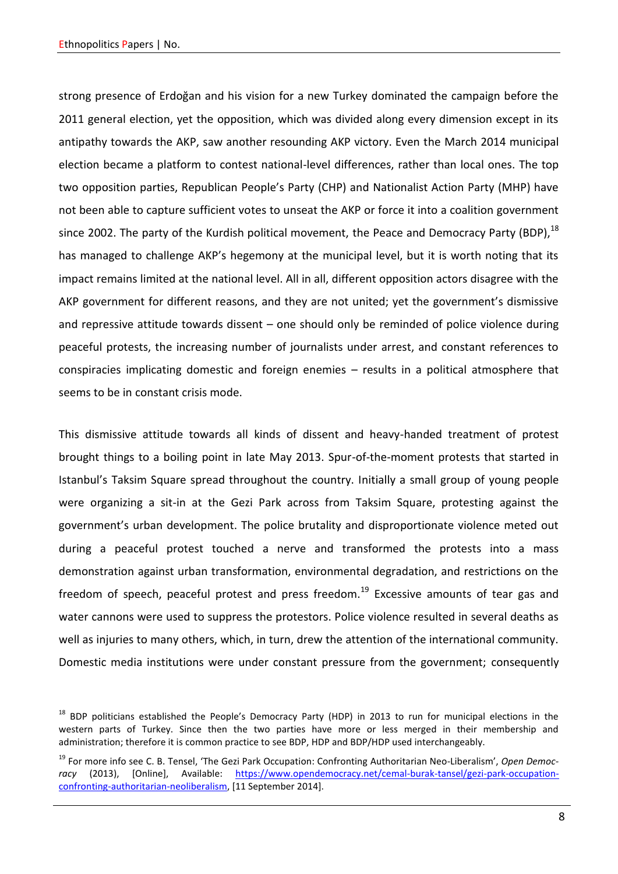strong presence of Erdoğan and his vision for a new Turkey dominated the campaign before the 2011 general election, yet the opposition, which was divided along every dimension except in its antipathy towards the AKP, saw another resounding AKP victory. Even the March 2014 municipal election became a platform to contest national-level differences, rather than local ones. The top two opposition parties, Republican People's Party (CHP) and Nationalist Action Party (MHP) have not been able to capture sufficient votes to unseat the AKP or force it into a coalition government since 2002. The party of the Kurdish political movement, the Peace and Democracy Party (BDP),<sup>18</sup> has managed to challenge AKP's hegemony at the municipal level, but it is worth noting that its impact remains limited at the national level. All in all, different opposition actors disagree with the AKP government for different reasons, and they are not united; yet the government's dismissive and repressive attitude towards dissent – one should only be reminded of police violence during peaceful protests, the increasing number of journalists under arrest, and constant references to conspiracies implicating domestic and foreign enemies – results in a political atmosphere that seems to be in constant crisis mode.

This dismissive attitude towards all kinds of dissent and heavy-handed treatment of protest brought things to a boiling point in late May 2013. Spur-of-the-moment protests that started in Istanbul's Taksim Square spread throughout the country. Initially a small group of young people were organizing a sit-in at the Gezi Park across from Taksim Square, protesting against the government's urban development. The police brutality and disproportionate violence meted out during a peaceful protest touched a nerve and transformed the protests into a mass demonstration against urban transformation, environmental degradation, and restrictions on the freedom of speech, peaceful protest and press freedom.<sup>19</sup> Excessive amounts of tear gas and water cannons were used to suppress the protestors. Police violence resulted in several deaths as well as injuries to many others, which, in turn, drew the attention of the international community. Domestic media institutions were under constant pressure from the government; consequently

<sup>&</sup>lt;sup>18</sup> BDP politicians established the People's Democracy Party (HDP) in 2013 to run for municipal elections in the western parts of Turkey. Since then the two parties have more or less merged in their membership and administration; therefore it is common practice to see BDP, HDP and BDP/HDP used interchangeably.

<sup>19</sup> For more info see C. B. Tensel, 'The Gezi Park Occupation: Confronting Authoritarian Neo-Liberalism', *Open Democracy* (2013), [Online], Available: [https://www.opendemocracy.net/cemal-burak-tansel/gezi-park-occupation](https://www.opendemocracy.net/cemal-burak-tansel/gezi-park-occupation-confronting-authoritarian-neoliberalism)[confronting-authoritarian-neoliberalism,](https://www.opendemocracy.net/cemal-burak-tansel/gezi-park-occupation-confronting-authoritarian-neoliberalism) [11 September 2014].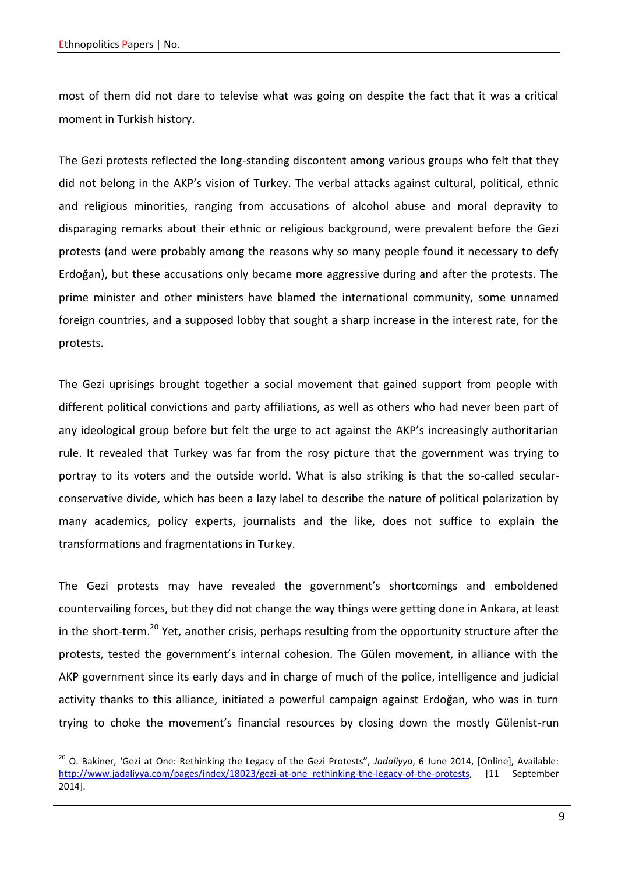most of them did not dare to televise what was going on despite the fact that it was a critical moment in Turkish history.

The Gezi protests reflected the long-standing discontent among various groups who felt that they did not belong in the AKP's vision of Turkey. The verbal attacks against cultural, political, ethnic and religious minorities, ranging from accusations of alcohol abuse and moral depravity to disparaging remarks about their ethnic or religious background, were prevalent before the Gezi protests (and were probably among the reasons why so many people found it necessary to defy Erdoğan), but these accusations only became more aggressive during and after the protests. The prime minister and other ministers have blamed the international community, some unnamed foreign countries, and a supposed lobby that sought a sharp increase in the interest rate, for the protests.

The Gezi uprisings brought together a social movement that gained support from people with different political convictions and party affiliations, as well as others who had never been part of any ideological group before but felt the urge to act against the AKP's increasingly authoritarian rule. It revealed that Turkey was far from the rosy picture that the government was trying to portray to its voters and the outside world. What is also striking is that the so-called secularconservative divide, which has been a lazy label to describe the nature of political polarization by many academics, policy experts, journalists and the like, does not suffice to explain the transformations and fragmentations in Turkey.

The Gezi protests may have revealed the government's shortcomings and emboldened countervailing forces, but they did not change the way things were getting done in Ankara, at least in the short-term.<sup>20</sup> Yet, another crisis, perhaps resulting from the opportunity structure after the protests, tested the government's internal cohesion. The Gülen movement, in alliance with the AKP government since its early days and in charge of much of the police, intelligence and judicial activity thanks to this alliance, initiated a powerful campaign against Erdoğan, who was in turn trying to choke the movement's financial resources by closing down the mostly Gülenist-run

<sup>20</sup> O. Bakiner, 'Gezi at One: Rethinking the Legacy of the Gezi Protests", *Jadaliyya*, 6 June 2014, [Online], Available: [http://www.jadaliyya.com/pages/index/18023/gezi-at-one\\_rethinking-the-legacy-of-the-protests,](http://www.jadaliyya.com/pages/index/18023/gezi-at-one_rethinking-the-legacy-of-the-protests) [11 September 2014].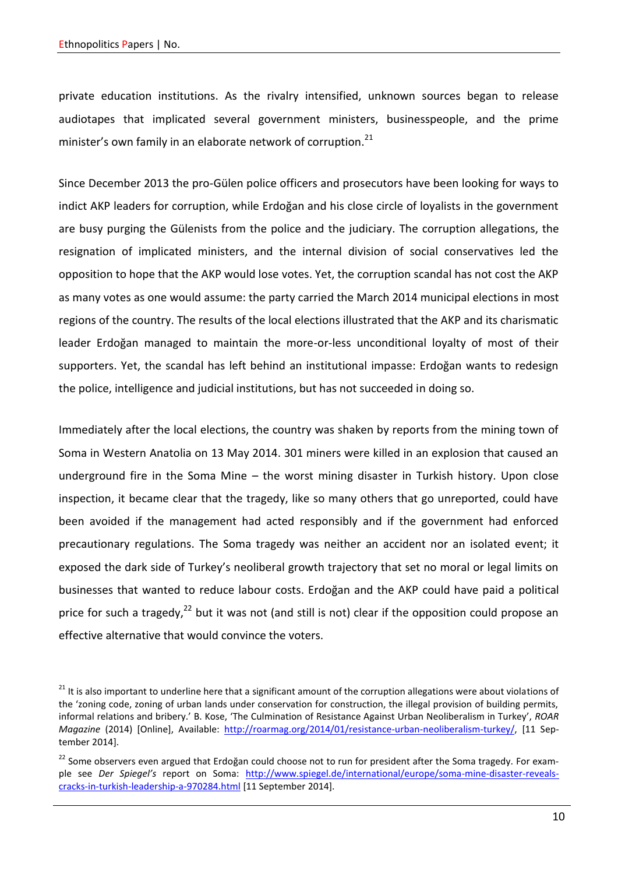private education institutions. As the rivalry intensified, unknown sources began to release audiotapes that implicated several government ministers, businesspeople, and the prime minister's own family in an elaborate network of corruption.<sup>21</sup>

Since December 2013 the pro-Gülen police officers and prosecutors have been looking for ways to indict AKP leaders for corruption, while Erdoğan and his close circle of loyalists in the government are busy purging the Gülenists from the police and the judiciary. The corruption allegations, the resignation of implicated ministers, and the internal division of social conservatives led the opposition to hope that the AKP would lose votes. Yet, the corruption scandal has not cost the AKP as many votes as one would assume: the party carried the March 2014 municipal elections in most regions of the country. The results of the local elections illustrated that the AKP and its charismatic leader Erdoğan managed to maintain the more-or-less unconditional loyalty of most of their supporters. Yet, the scandal has left behind an institutional impasse: Erdoğan wants to redesign the police, intelligence and judicial institutions, but has not succeeded in doing so.

Immediately after the local elections, the country was shaken by reports from the mining town of Soma in Western Anatolia on 13 May 2014. 301 miners were killed in an explosion that caused an underground fire in the Soma Mine – the worst mining disaster in Turkish history. Upon close inspection, it became clear that the tragedy, like so many others that go unreported, could have been avoided if the management had acted responsibly and if the government had enforced precautionary regulations. The Soma tragedy was neither an accident nor an isolated event; it exposed the dark side of Turkey's neoliberal growth trajectory that set no moral or legal limits on businesses that wanted to reduce labour costs. Erdoğan and the AKP could have paid a political price for such a tragedy, $^{22}$  but it was not (and still is not) clear if the opposition could propose an effective alternative that would convince the voters.

<sup>&</sup>lt;sup>21</sup> It is also important to underline here that a significant amount of the corruption allegations were about violations of the 'zoning code, zoning of urban lands under conservation for construction, the illegal provision of building permits, informal relations and bribery.' B. Kose, 'The Culmination of Resistance Against Urban Neoliberalism in Turkey', *ROAR Magazine* (2014) [Online], Available: [http://roarmag.org/2014/01/resistance-urban-neoliberalism-turkey/,](http://roarmag.org/2014/01/resistance-urban-neoliberalism-turkey/) [11 September 2014].

 $22$  Some observers even argued that Erdoğan could choose not to run for president after the Soma tragedy. For example see *Der Spiegel's* report on Soma: [http://www.spiegel.de/international/europe/soma-mine-disaster-reveals](http://www.spiegel.de/international/europe/soma-mine-disaster-reveals-cracks-in-turkish-leadership-a-970284.html)[cracks-in-turkish-leadership-a-970284.html](http://www.spiegel.de/international/europe/soma-mine-disaster-reveals-cracks-in-turkish-leadership-a-970284.html) [11 September 2014].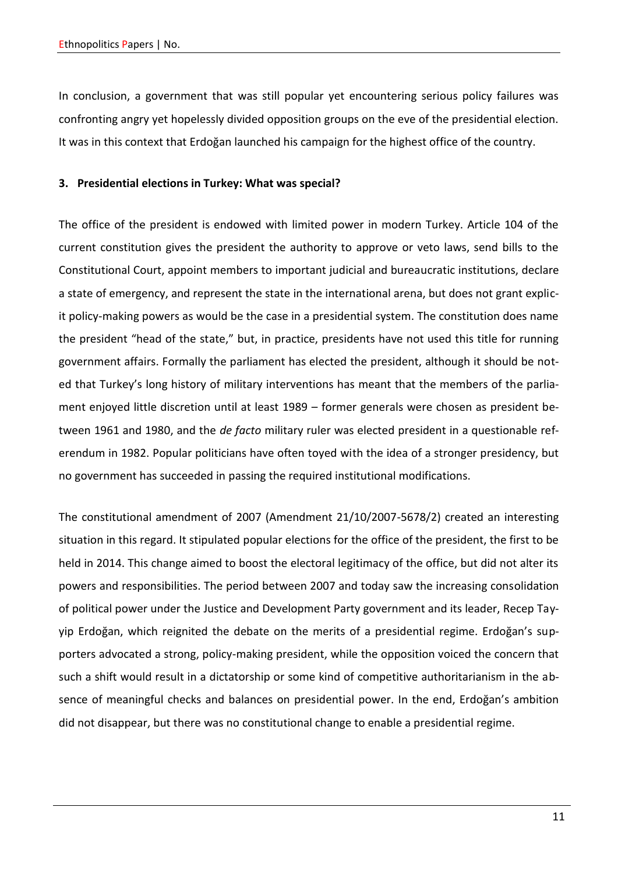In conclusion, a government that was still popular yet encountering serious policy failures was confronting angry yet hopelessly divided opposition groups on the eve of the presidential election. It was in this context that Erdoğan launched his campaign for the highest office of the country.

# **3. Presidential elections in Turkey: What was special?**

The office of the president is endowed with limited power in modern Turkey. Article 104 of the current constitution gives the president the authority to approve or veto laws, send bills to the Constitutional Court, appoint members to important judicial and bureaucratic institutions, declare a state of emergency, and represent the state in the international arena, but does not grant explicit policy-making powers as would be the case in a presidential system. The constitution does name the president "head of the state," but, in practice, presidents have not used this title for running government affairs. Formally the parliament has elected the president, although it should be noted that Turkey's long history of military interventions has meant that the members of the parliament enjoyed little discretion until at least 1989 – former generals were chosen as president between 1961 and 1980, and the *de facto* military ruler was elected president in a questionable referendum in 1982. Popular politicians have often toyed with the idea of a stronger presidency, but no government has succeeded in passing the required institutional modifications.

The constitutional amendment of 2007 (Amendment 21/10/2007-5678/2) created an interesting situation in this regard. It stipulated popular elections for the office of the president, the first to be held in 2014. This change aimed to boost the electoral legitimacy of the office, but did not alter its powers and responsibilities. The period between 2007 and today saw the increasing consolidation of political power under the Justice and Development Party government and its leader, Recep Tayyip Erdoğan, which reignited the debate on the merits of a presidential regime. Erdoğan's supporters advocated a strong, policy-making president, while the opposition voiced the concern that such a shift would result in a dictatorship or some kind of competitive authoritarianism in the absence of meaningful checks and balances on presidential power. In the end, Erdoğan's ambition did not disappear, but there was no constitutional change to enable a presidential regime.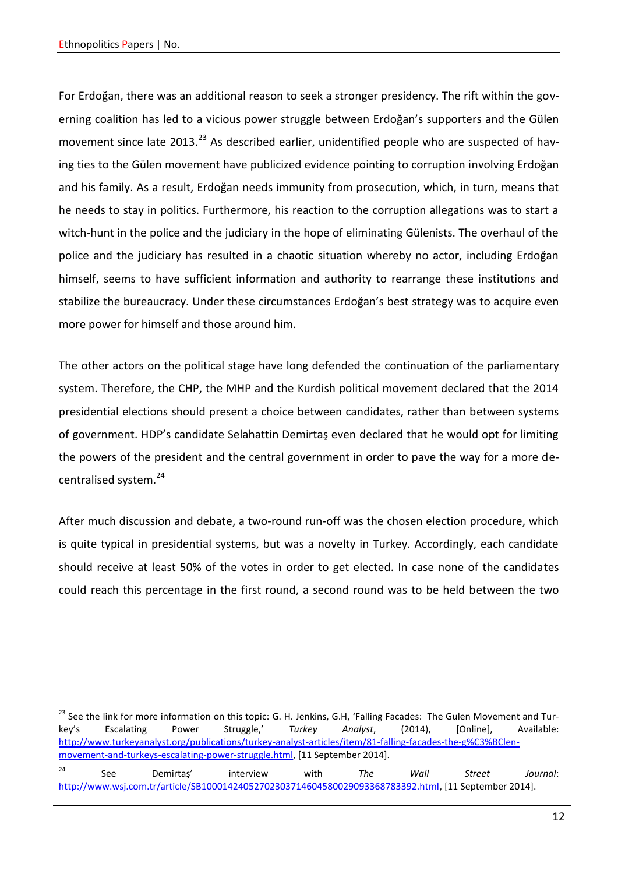For Erdoğan, there was an additional reason to seek a stronger presidency. The rift within the governing coalition has led to a vicious power struggle between Erdoğan's supporters and the Gülen movement since late 2013.<sup>23</sup> As described earlier, unidentified people who are suspected of having ties to the Gülen movement have publicized evidence pointing to corruption involving Erdoğan and his family. As a result, Erdoğan needs immunity from prosecution, which, in turn, means that he needs to stay in politics. Furthermore, his reaction to the corruption allegations was to start a witch-hunt in the police and the judiciary in the hope of eliminating Gülenists. The overhaul of the police and the judiciary has resulted in a chaotic situation whereby no actor, including Erdoğan himself, seems to have sufficient information and authority to rearrange these institutions and stabilize the bureaucracy. Under these circumstances Erdoğan's best strategy was to acquire even more power for himself and those around him.

The other actors on the political stage have long defended the continuation of the parliamentary system. Therefore, the CHP, the MHP and the Kurdish political movement declared that the 2014 presidential elections should present a choice between candidates, rather than between systems of government. HDP's candidate Selahattin Demirtaş even declared that he would opt for limiting the powers of the president and the central government in order to pave the way for a more decentralised system.<sup>24</sup>

After much discussion and debate, a two-round run-off was the chosen election procedure, which is quite typical in presidential systems, but was a novelty in Turkey. Accordingly, each candidate should receive at least 50% of the votes in order to get elected. In case none of the candidates could reach this percentage in the first round, a second round was to be held between the two

<sup>&</sup>lt;sup>23</sup> See the link for more information on this topic: G. H. Jenkins, G.H, 'Falling Facades: The Gulen Movement and Turkey's Escalating Power Struggle,' *Turkey Analyst*, (2014), [Online], Available: [http://www.turkeyanalyst.org/publications/turkey-analyst-articles/item/81-falling-facades-the-g%C3%BClen](http://www.turkeyanalyst.org/publications/turkey-analyst-articles/item/81-falling-facades-the-g%C3%BClen-movement-and-turkeys-escalating-power-struggle.html)[movement-and-turkeys-escalating-power-struggle.html,](http://www.turkeyanalyst.org/publications/turkey-analyst-articles/item/81-falling-facades-the-g%C3%BClen-movement-and-turkeys-escalating-power-struggle.html) [11 September 2014]. <sup>24</sup> See Demirtaş' interview with *The Wall Street Journal*: [http://www.wsj.com.tr/article/SB10001424052702303714604580029093368783392.html,](http://www.wsj.com.tr/article/SB10001424052702303714604580029093368783392.html) [11 September 2014].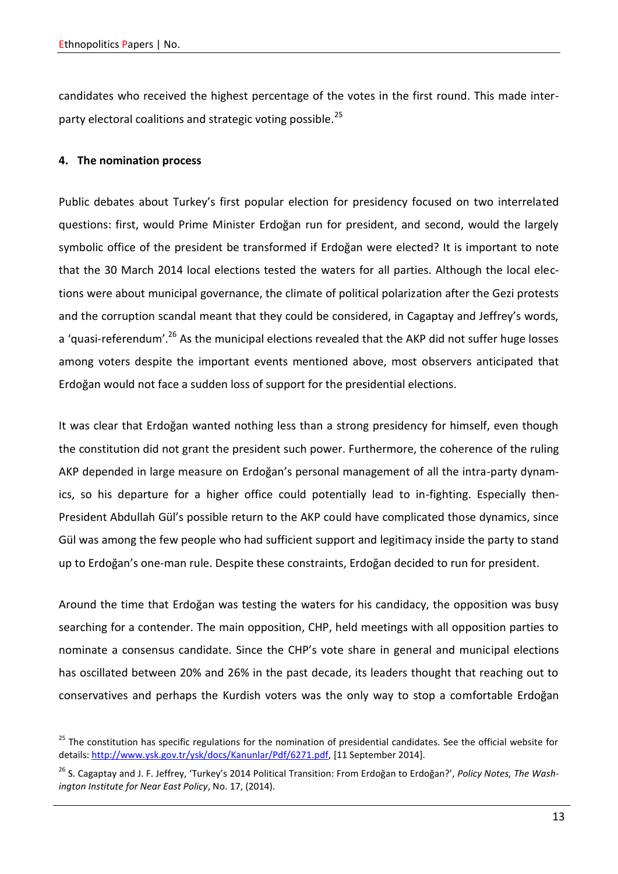candidates who received the highest percentage of the votes in the first round. This made interparty electoral coalitions and strategic voting possible.<sup>25</sup>

# **4. The nomination process**

Public debates about Turkey's first popular election for presidency focused on two interrelated questions: first, would Prime Minister Erdoğan run for president, and second, would the largely symbolic office of the president be transformed if Erdoğan were elected? It is important to note that the 30 March 2014 local elections tested the waters for all parties. Although the local elections were about municipal governance, the climate of political polarization after the Gezi protests and the corruption scandal meant that they could be considered, in Cagaptay and Jeffrey's words, a 'quasi-referendum'.<sup>26</sup> As the municipal elections revealed that the AKP did not suffer huge losses among voters despite the important events mentioned above, most observers anticipated that Erdoğan would not face a sudden loss of support for the presidential elections.

It was clear that Erdoğan wanted nothing less than a strong presidency for himself, even though the constitution did not grant the president such power. Furthermore, the coherence of the ruling AKP depended in large measure on Erdoğan's personal management of all the intra-party dynamics, so his departure for a higher office could potentially lead to in-fighting. Especially then-President Abdullah Gül's possible return to the AKP could have complicated those dynamics, since Gül was among the few people who had sufficient support and legitimacy inside the party to stand up to Erdoğan's one-man rule. Despite these constraints, Erdoğan decided to run for president.

Around the time that Erdoğan was testing the waters for his candidacy, the opposition was busy searching for a contender. The main opposition, CHP, held meetings with all opposition parties to nominate a consensus candidate. Since the CHP's vote share in general and municipal elections has oscillated between 20% and 26% in the past decade, its leaders thought that reaching out to conservatives and perhaps the Kurdish voters was the only way to stop a comfortable Erdoğan

<sup>&</sup>lt;sup>25</sup> The constitution has specific regulations for the nomination of presidential candidates. See the official website for details[: http://www.ysk.gov.tr/ysk/docs/Kanunlar/Pdf/6271.pdf,](http://www.ysk.gov.tr/ysk/docs/Kanunlar/Pdf/6271.pdf) [11 September 2014].

<sup>&</sup>lt;sup>26</sup> S. Cagaptay and J. F. Jeffrey, 'Turkey's 2014 Political Transition: From Erdoğan to Erdoğan?', Policy Notes, The Wash*ington Institute for Near East Policy*, No. 17, (2014).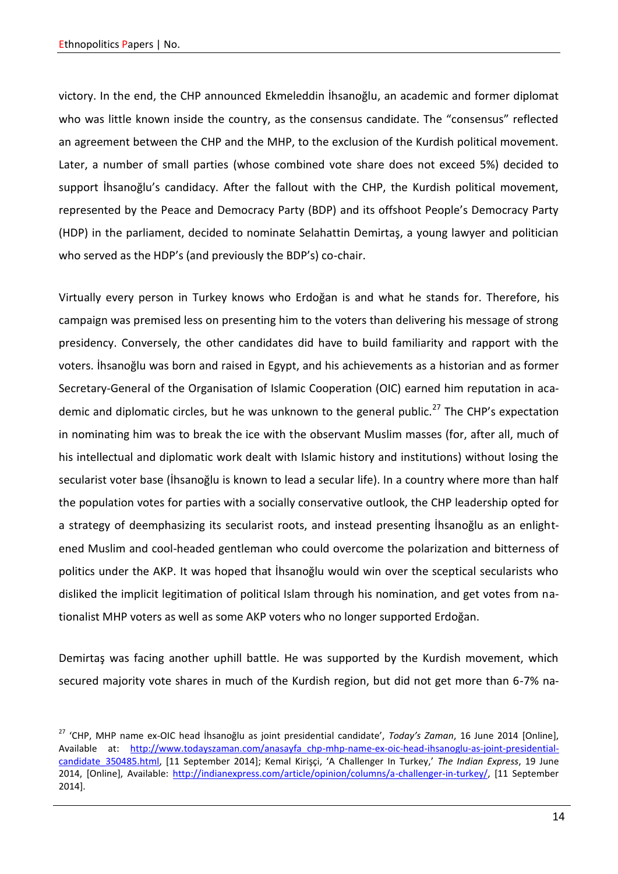victory. In the end, the CHP announced Ekmeleddin İhsanoğlu, an academic and former diplomat who was little known inside the country, as the consensus candidate. The "consensus" reflected an agreement between the CHP and the MHP, to the exclusion of the Kurdish political movement. Later, a number of small parties (whose combined vote share does not exceed 5%) decided to support İhsanoğlu's candidacy. After the fallout with the CHP, the Kurdish political movement, represented by the Peace and Democracy Party (BDP) and its offshoot People's Democracy Party (HDP) in the parliament, decided to nominate Selahattin Demirtaş, a young lawyer and politician who served as the HDP's (and previously the BDP's) co-chair.

Virtually every person in Turkey knows who Erdoğan is and what he stands for. Therefore, his campaign was premised less on presenting him to the voters than delivering his message of strong presidency. Conversely, the other candidates did have to build familiarity and rapport with the voters. İhsanoğlu was born and raised in Egypt, and his achievements as a historian and as former Secretary-General of the Organisation of Islamic Cooperation (OIC) earned him reputation in academic and diplomatic circles, but he was unknown to the general public.<sup>27</sup> The CHP's expectation in nominating him was to break the ice with the observant Muslim masses (for, after all, much of his intellectual and diplomatic work dealt with Islamic history and institutions) without losing the secularist voter base (İhsanoğlu is known to lead a secular life). In a country where more than half the population votes for parties with a socially conservative outlook, the CHP leadership opted for a strategy of deemphasizing its secularist roots, and instead presenting İhsanoğlu as an enlightened Muslim and cool-headed gentleman who could overcome the polarization and bitterness of politics under the AKP. It was hoped that İhsanoğlu would win over the sceptical secularists who disliked the implicit legitimation of political Islam through his nomination, and get votes from nationalist MHP voters as well as some AKP voters who no longer supported Erdoğan.

Demirtaş was facing another uphill battle. He was supported by the Kurdish movement, which secured majority vote shares in much of the Kurdish region, but did not get more than 6-7% na-

<sup>27</sup> 'CHP, MHP name ex-OIC head İhsanoğlu as joint presidential candidate', *Today's Zaman*, 16 June 2014 [Online], Available at: [http://www.todayszaman.com/anasayfa\\_chp-mhp-name-ex-oic-head-ihsanoglu-as-joint-presidential](http://www.todayszaman.com/anasayfa_chp-mhp-name-ex-oic-head-ihsanoglu-as-joint-presidential-candidate_350485.html)[candidate\\_350485.html,](http://www.todayszaman.com/anasayfa_chp-mhp-name-ex-oic-head-ihsanoglu-as-joint-presidential-candidate_350485.html) [11 September 2014]; Kemal Kirişçi, 'A Challenger In Turkey,' *The Indian Express*, 19 June 2014, [Online], Available: [http://indianexpress.com/article/opinion/columns/a-challenger-in-turkey/,](http://indianexpress.com/article/opinion/columns/a-challenger-in-turkey/) [11 September 2014].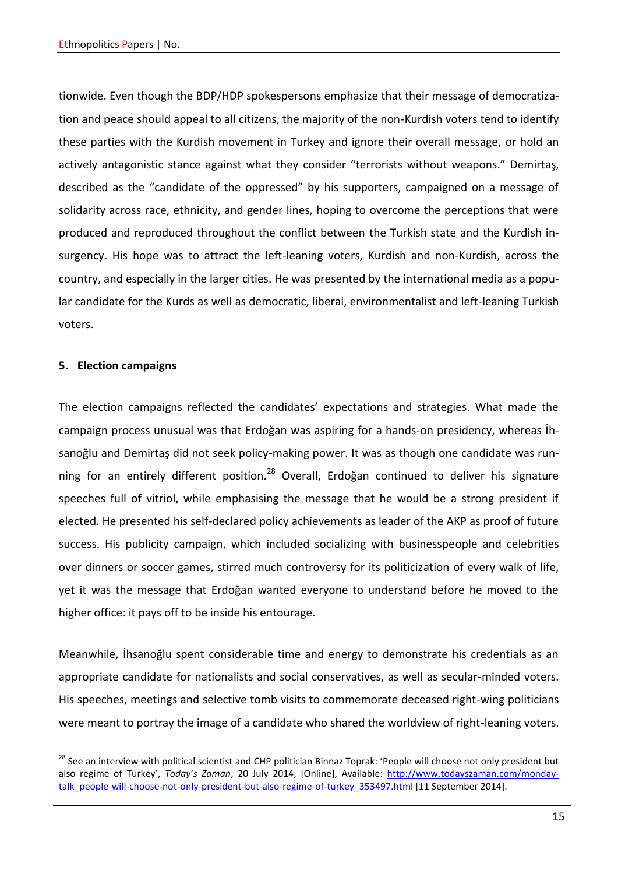tionwide. Even though the BDP/HDP spokespersons emphasize that their message of democratization and peace should appeal to all citizens, the majority of the non-Kurdish voters tend to identify these parties with the Kurdish movement in Turkey and ignore their overall message, or hold an actively antagonistic stance against what they consider "terrorists without weapons." Demirtaş, described as the "candidate of the oppressed" by his supporters, campaigned on a message of solidarity across race, ethnicity, and gender lines, hoping to overcome the perceptions that were produced and reproduced throughout the conflict between the Turkish state and the Kurdish insurgency. His hope was to attract the left-leaning voters, Kurdish and non-Kurdish, across the country, and especially in the larger cities. He was presented by the international media as a popular candidate for the Kurds as well as democratic, liberal, environmentalist and left-leaning Turkish voters.

### **5. Election campaigns**

The election campaigns reflected the candidates' expectations and strategies. What made the campaign process unusual was that Erdoğan was aspiring for a hands-on presidency, whereas İhsanoğlu and Demirtaş did not seek policy-making power. It was as though one candidate was running for an entirely different position.<sup>28</sup> Overall, Erdoğan continued to deliver his signature speeches full of vitriol, while emphasising the message that he would be a strong president if elected. He presented his self-declared policy achievements as leader of the AKP as proof of future success. His publicity campaign, which included socializing with businesspeople and celebrities over dinners or soccer games, stirred much controversy for its politicization of every walk of life, yet it was the message that Erdoğan wanted everyone to understand before he moved to the higher office: it pays off to be inside his entourage.

Meanwhile, İhsanoğlu spent considerable time and energy to demonstrate his credentials as an appropriate candidate for nationalists and social conservatives, as well as secular-minded voters. His speeches, meetings and selective tomb visits to commemorate deceased right-wing politicians were meant to portray the image of a candidate who shared the worldview of right-leaning voters.

<sup>&</sup>lt;sup>28</sup> See an interview with political scientist and CHP politician Binnaz Toprak: 'People will choose not only president but also regime of Turkey', *Today's Zaman*, 20 July 2014, [Online], Available: [http://www.todayszaman.com/monday](http://www.todayszaman.com/monday-talk_people-will-choose-not-only-president-but-also-regime-of-turkey_353497.html)[talk\\_people-will-choose-not-only-president-but-also-regime-of-turkey\\_353497.html](http://www.todayszaman.com/monday-talk_people-will-choose-not-only-president-but-also-regime-of-turkey_353497.html) [11 September 2014].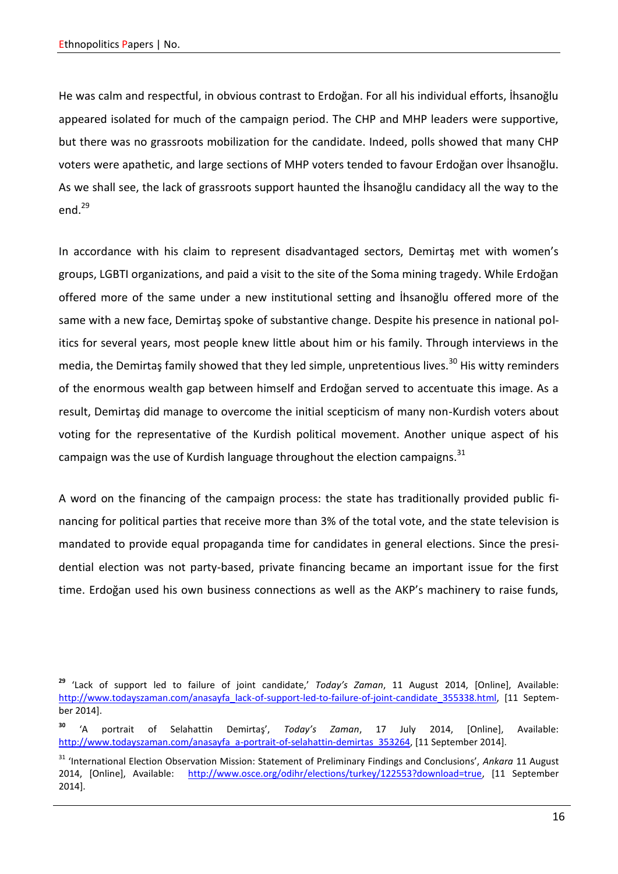He was calm and respectful, in obvious contrast to Erdoğan. For all his individual efforts, İhsanoğlu appeared isolated for much of the campaign period. The CHP and MHP leaders were supportive, but there was no grassroots mobilization for the candidate. Indeed, polls showed that many CHP voters were apathetic, and large sections of MHP voters tended to favour Erdoğan over İhsanoğlu. As we shall see, the lack of grassroots support haunted the İhsanoğlu candidacy all the way to the end. $^{29}$ 

In accordance with his claim to represent disadvantaged sectors, Demirtaş met with women's groups, LGBTI organizations, and paid a visit to the site of the Soma mining tragedy. While Erdoğan offered more of the same under a new institutional setting and İhsanoğlu offered more of the same with a new face, Demirtaş spoke of substantive change. Despite his presence in national politics for several years, most people knew little about him or his family. Through interviews in the media, the Demirtas family showed that they led simple, unpretentious lives.<sup>30</sup> His witty reminders of the enormous wealth gap between himself and Erdoğan served to accentuate this image. As a result, Demirtaş did manage to overcome the initial scepticism of many non-Kurdish voters about voting for the representative of the Kurdish political movement. Another unique aspect of his campaign was the use of Kurdish language throughout the election campaigns. $^{31}$ 

A word on the financing of the campaign process: the state has traditionally provided public financing for political parties that receive more than 3% of the total vote, and the state television is mandated to provide equal propaganda time for candidates in general elections. Since the presidential election was not party-based, private financing became an important issue for the first time. Erdoğan used his own business connections as well as the AKP's machinery to raise funds,

**<sup>29</sup>** 'Lack of support led to failure of joint candidate,' *Today's Zaman*, 11 August 2014, [Online], Available: [http://www.todayszaman.com/anasayfa\\_lack-of-support-led-to-failure-of-joint-candidate\\_355338.html,](http://www.todayszaman.com/anasayfa_lack-of-support-led-to-failure-of-joint-candidate_355338.html) [11 September 2014].

**<sup>30</sup>** 'A portrait of Selahattin Demirtaş', *Today's Zaman*, 17 July 2014, [Online], Available: [http://www.todayszaman.com/anasayfa\\_a-portrait-of-selahattin-demirtas\\_353264,](http://www.todayszaman.com/anasayfa_a-portrait-of-selahattin-demirtas_353264) [11 September 2014].

<sup>31</sup> 'International Election Observation Mission: Statement of Preliminary Findings and Conclusions', *Ankara* 11 August 2014, [Online], Available: [http://www.osce.org/odihr/elections/turkey/122553?download=true,](http://www.osce.org/odihr/elections/turkey/122553?download=true) [11 September 2014].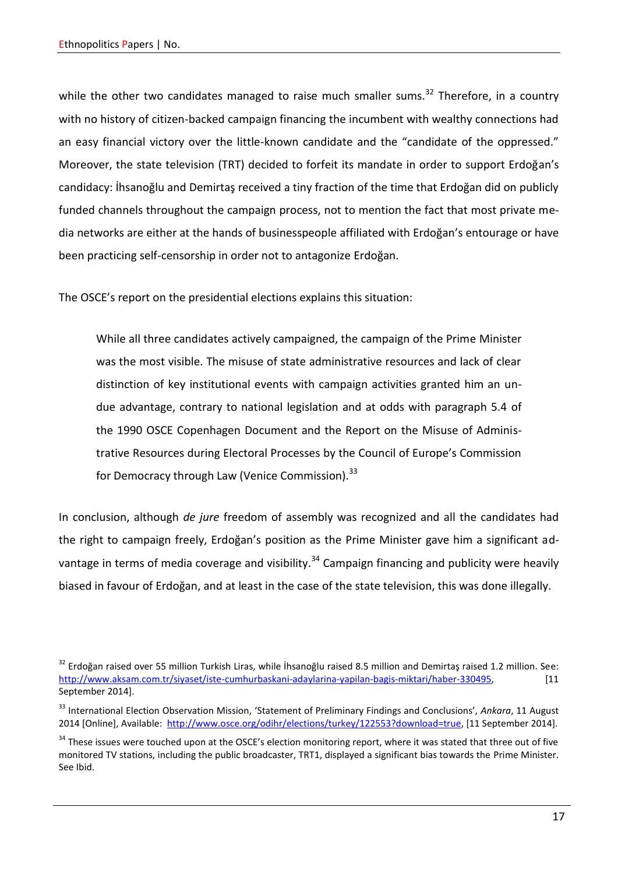while the other two candidates managed to raise much smaller sums.<sup>32</sup> Therefore, in a country with no history of citizen-backed campaign financing the incumbent with wealthy connections had an easy financial victory over the little-known candidate and the "candidate of the oppressed." Moreover, the state television (TRT) decided to forfeit its mandate in order to support Erdoğan's candidacy: İhsanoğlu and Demirtaş received a tiny fraction of the time that Erdoğan did on publicly funded channels throughout the campaign process, not to mention the fact that most private media networks are either at the hands of businesspeople affiliated with Erdoğan's entourage or have been practicing self-censorship in order not to antagonize Erdoğan.

The OSCE's report on the presidential elections explains this situation:

While all three candidates actively campaigned, the campaign of the Prime Minister was the most visible. The misuse of state administrative resources and lack of clear distinction of key institutional events with campaign activities granted him an undue advantage, contrary to national legislation and at odds with paragraph 5.4 of the 1990 OSCE Copenhagen Document and the Report on the Misuse of Administrative Resources during Electoral Processes by the Council of Europe's Commission for Democracy through Law (Venice Commission).<sup>33</sup>

In conclusion, although *de jure* freedom of assembly was recognized and all the candidates had the right to campaign freely, Erdoğan's position as the Prime Minister gave him a significant advantage in terms of media coverage and visibility.<sup>34</sup> Campaign financing and publicity were heavily biased in favour of Erdoğan, and at least in the case of the state television, this was done illegally.

 $32$  Erdoğan raised over 55 million Turkish Liras, while İhsanoğlu raised 8.5 million and Demirtas raised 1.2 million. See: [http://www.aksam.com.tr/siyaset/iste-cumhurbaskani-adaylarina-yapilan-bagis-miktari/haber-330495,](http://www.aksam.com.tr/siyaset/iste-cumhurbaskani-adaylarina-yapilan-bagis-miktari/haber-330495) [11 September 2014].

<sup>33</sup> International Election Observation Mission, 'Statement of Preliminary Findings and Conclusions', *Ankara*, 11 August 2014 [Online], Available: [http://www.osce.org/odihr/elections/turkey/122553?download=true,](http://www.osce.org/odihr/elections/turkey/122553?download=true%20) [11 September 2014].

 $34$  These issues were touched upon at the OSCE's election monitoring report, where it was stated that three out of five monitored TV stations, including the public broadcaster, TRT1, displayed a significant bias towards the Prime Minister. See Ibid.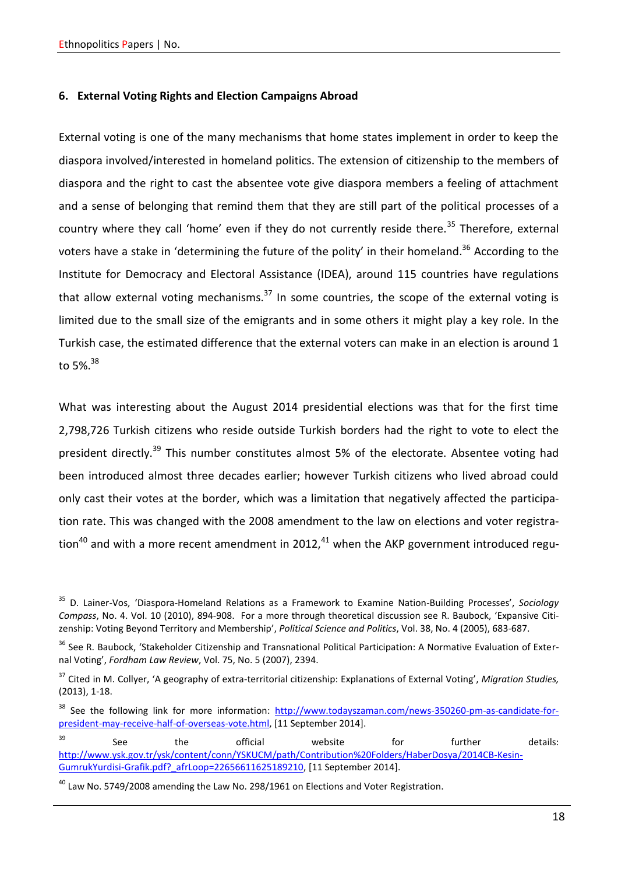### **6. External Voting Rights and Election Campaigns Abroad**

External voting is one of the many mechanisms that home states implement in order to keep the diaspora involved/interested in homeland politics. The extension of citizenship to the members of diaspora and the right to cast the absentee vote give diaspora members a feeling of attachment and a sense of belonging that remind them that they are still part of the political processes of a country where they call 'home' even if they do not currently reside there.<sup>35</sup> Therefore, external voters have a stake in 'determining the future of the polity' in their homeland.<sup>36</sup> According to the Institute for Democracy and Electoral Assistance (IDEA), around 115 countries have regulations that allow external voting mechanisms. $37$  In some countries, the scope of the external voting is limited due to the small size of the emigrants and in some others it might play a key role. In the Turkish case, the estimated difference that the external voters can make in an election is around 1 to 5%. $38$ 

What was interesting about the August 2014 presidential elections was that for the first time 2,798,726 Turkish citizens who reside outside Turkish borders had the right to vote to elect the president directly.<sup>39</sup> This number constitutes almost 5% of the electorate. Absentee voting had been introduced almost three decades earlier; however Turkish citizens who lived abroad could only cast their votes at the border, which was a limitation that negatively affected the participation rate. This was changed with the 2008 amendment to the law on elections and voter registration<sup>40</sup> and with a more recent amendment in 2012,<sup>41</sup> when the AKP government introduced regu-

<sup>35</sup> D. Lainer-Vos, 'Diaspora-Homeland Relations as a Framework to Examine Nation-Building Processes', *Sociology Compass*, No. 4. Vol. 10 (2010), 894-908. For a more through theoretical discussion see R. Baubock, 'Expansive Citizenship: Voting Beyond Territory and Membership', *Political Science and Politics*, Vol. 38, No. 4 (2005), 683-687.

<sup>&</sup>lt;sup>36</sup> See R. Baubock, 'Stakeholder Citizenship and Transnational Political Participation: A Normative Evaluation of External Voting', *Fordham Law Review*, Vol. 75, No. 5 (2007), 2394.

<sup>37</sup> Cited in M. Collyer, 'A geography of extra-territorial citizenship: Explanations of External Voting', *Migration Studies,* (2013), 1-18.

<sup>&</sup>lt;sup>38</sup> See the following link for more information: [http://www.todayszaman.com/news-350260-pm-as-candidate-for](http://www.todayszaman.com/news-350260-pm-as-candidate-for-president-may-receive-half-of-overseas-vote.html)[president-may-receive-half-of-overseas-vote.html,](http://www.todayszaman.com/news-350260-pm-as-candidate-for-president-may-receive-half-of-overseas-vote.html) [11 September 2014].

 $39$  See the official website for further details: [http://www.ysk.gov.tr/ysk/content/conn/YSKUCM/path/Contribution%20Folders/HaberDosya/2014CB-Kesin-](http://www.ysk.gov.tr/ysk/content/conn/YSKUCM/path/Contribution%20Folders/HaberDosya/2014CB-Kesin-GumrukYurdisi-Grafik.pdf?_afrLoop=22656611625189210)[GumrukYurdisi-Grafik.pdf?\\_afrLoop=22656611625189210,](http://www.ysk.gov.tr/ysk/content/conn/YSKUCM/path/Contribution%20Folders/HaberDosya/2014CB-Kesin-GumrukYurdisi-Grafik.pdf?_afrLoop=22656611625189210) [11 September 2014].

 $^{40}$  Law No. 5749/2008 amending the Law No. 298/1961 on Elections and Voter Registration.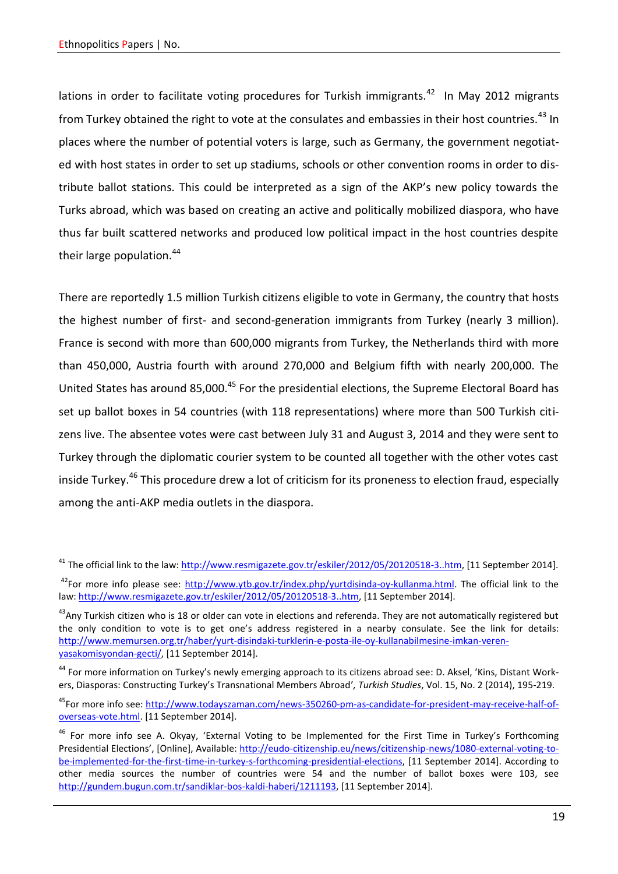lations in order to facilitate voting procedures for Turkish immigrants.<sup>42</sup> In May 2012 migrants from Turkey obtained the right to vote at the consulates and embassies in their host countries.<sup>43</sup> In places where the number of potential voters is large, such as Germany, the government negotiated with host states in order to set up stadiums, schools or other convention rooms in order to distribute ballot stations. This could be interpreted as a sign of the AKP's new policy towards the Turks abroad, which was based on creating an active and politically mobilized diaspora, who have thus far built scattered networks and produced low political impact in the host countries despite their large population.<sup>44</sup>

There are reportedly 1.5 million Turkish citizens eligible to vote in Germany, the country that hosts the highest number of first- and second-generation immigrants from Turkey (nearly 3 million). France is second with more than 600,000 migrants from Turkey, the Netherlands third with more than 450,000, Austria fourth with around 270,000 and Belgium fifth with nearly 200,000. The United States has around 85,000.<sup>45</sup> For the presidential elections, the Supreme Electoral Board has set up ballot boxes in 54 countries (with 118 representations) where more than 500 Turkish citizens live. The absentee votes were cast between July 31 and August 3, 2014 and they were sent to Turkey through the diplomatic courier system to be counted all together with the other votes cast inside Turkey.<sup>46</sup> This procedure drew a lot of criticism for its proneness to election fraud, especially among the anti-AKP media outlets in the diaspora.

<sup>&</sup>lt;sup>41</sup> The official link to the law: [http://www.resmigazete.gov.tr/eskiler/2012/05/20120518-3..htm,](http://www.resmigazete.gov.tr/eskiler/2012/05/20120518-3..htm) [11 September 2014].

<sup>&</sup>lt;sup>42</sup>For more info please see: [http://www.ytb.gov.tr/index.php/yurtdisinda-oy-kullanma.html.](http://www.ytb.gov.tr/index.php/yurtdisinda-oy-kullanma.html) The official link to the law: [http://www.resmigazete.gov.tr/eskiler/2012/05/20120518-3..htm,](http://www.resmigazete.gov.tr/eskiler/2012/05/20120518-3..htm) [11 September 2014].

 $^{43}$ Any Turkish citizen who is 18 or older can vote in elections and referenda. They are not automatically registered but the only condition to vote is to get one's address registered in a nearby consulate. See the link for details: [http://www.memursen.org.tr/haber/yurt-disindaki-turklerin-e-posta-ile-oy-kullanabilmesine-imkan-veren](http://www.memursen.org.tr/haber/yurt-disindaki-turklerin-e-posta-ile-oy-kullanabilmesine-imkan-veren-yasakomisyondan-gecti/)[yasakomisyondan-gecti/,](http://www.memursen.org.tr/haber/yurt-disindaki-turklerin-e-posta-ile-oy-kullanabilmesine-imkan-veren-yasakomisyondan-gecti/) [11 September 2014].

<sup>&</sup>lt;sup>44</sup> For more information on Turkey's newly emerging approach to its citizens abroad see: D. Aksel, 'Kins, Distant Workers, Diasporas: Constructing Turkey's Transnational Members Abroad'*, Turkish Studies*, Vol. 15, No. 2 (2014), 195-219.

<sup>&</sup>lt;sup>45</sup>For more info see: [http://www.todayszaman.com/news-350260-pm-as-candidate-for-president-may-receive-half-of](http://www.todayszaman.com/news-350260-pm-as-candidate-for-president-may-receive-half-of-overseas-vote.html)[overseas-vote.html.](http://www.todayszaman.com/news-350260-pm-as-candidate-for-president-may-receive-half-of-overseas-vote.html) [11 September 2014].

<sup>&</sup>lt;sup>46</sup> For more info see A. Okyay, 'External Voting to be Implemented for the First Time in Turkey's Forthcoming Presidential Elections', [Online], Available: [http://eudo-citizenship.eu/news/citizenship-news/1080-external-voting-to](http://eudo-citizenship.eu/news/citizenship-news/1080-external-voting-to-be-implemented-for-the-first-time-in-turkey-s-forthcoming-presidential-elections)[be-implemented-for-the-first-time-in-turkey-s-forthcoming-presidential-elections,](http://eudo-citizenship.eu/news/citizenship-news/1080-external-voting-to-be-implemented-for-the-first-time-in-turkey-s-forthcoming-presidential-elections) [11 September 2014]. According to other media sources the number of countries were 54 and the number of ballot boxes were 103, see [http://gundem.bugun.com.tr/sandiklar-bos-kaldi-haberi/1211193,](http://gundem.bugun.com.tr/sandiklar-bos-kaldi-haberi/1211193) [11 September 2014].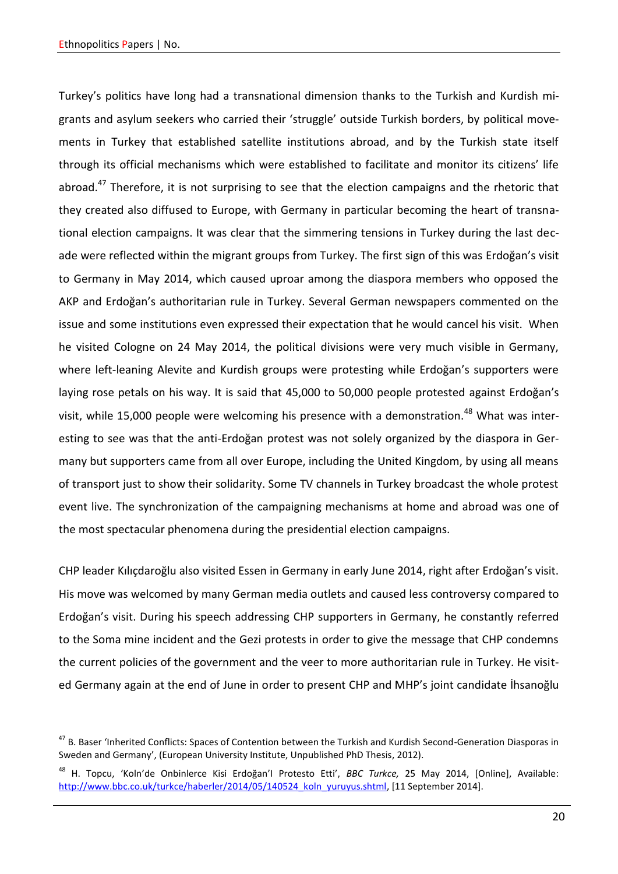Turkey's politics have long had a transnational dimension thanks to the Turkish and Kurdish migrants and asylum seekers who carried their 'struggle' outside Turkish borders, by political movements in Turkey that established satellite institutions abroad, and by the Turkish state itself through its official mechanisms which were established to facilitate and monitor its citizens' life abroad.<sup>47</sup> Therefore, it is not surprising to see that the election campaigns and the rhetoric that they created also diffused to Europe, with Germany in particular becoming the heart of transnational election campaigns. It was clear that the simmering tensions in Turkey during the last decade were reflected within the migrant groups from Turkey. The first sign of this was Erdoğan's visit to Germany in May 2014, which caused uproar among the diaspora members who opposed the AKP and Erdoğan's authoritarian rule in Turkey. Several German newspapers commented on the issue and some institutions even expressed their expectation that he would cancel his visit. When he visited Cologne on 24 May 2014, the political divisions were very much visible in Germany, where left-leaning Alevite and Kurdish groups were protesting while Erdoğan's supporters were laying rose petals on his way. It is said that 45,000 to 50,000 people protested against Erdoğan's visit, while 15,000 people were welcoming his presence with a demonstration.<sup>48</sup> What was interesting to see was that the anti-Erdoğan protest was not solely organized by the diaspora in Germany but supporters came from all over Europe, including the United Kingdom, by using all means of transport just to show their solidarity. Some TV channels in Turkey broadcast the whole protest event live. The synchronization of the campaigning mechanisms at home and abroad was one of the most spectacular phenomena during the presidential election campaigns.

CHP leader Kılıçdaroğlu also visited Essen in Germany in early June 2014, right after Erdoğan's visit. His move was welcomed by many German media outlets and caused less controversy compared to Erdoğan's visit. During his speech addressing CHP supporters in Germany, he constantly referred to the Soma mine incident and the Gezi protests in order to give the message that CHP condemns the current policies of the government and the veer to more authoritarian rule in Turkey. He visited Germany again at the end of June in order to present CHP and MHP's joint candidate İhsanoğlu

<sup>&</sup>lt;sup>47</sup> B. Baser 'Inherited Conflicts: Spaces of Contention between the Turkish and Kurdish Second-Generation Diasporas in Sweden and Germany', (European University Institute, Unpublished PhD Thesis, 2012).

<sup>48</sup> H. Topcu, 'Koln'de Onbinlerce Kisi Erdoğan'I Protesto Etti', *BBC Turkce,* 25 May 2014, [Online], Available: [http://www.bbc.co.uk/turkce/haberler/2014/05/140524\\_koln\\_yuruyus.shtml,](http://www.bbc.co.uk/turkce/haberler/2014/05/140524_koln_yuruyus.shtml) [11 September 2014].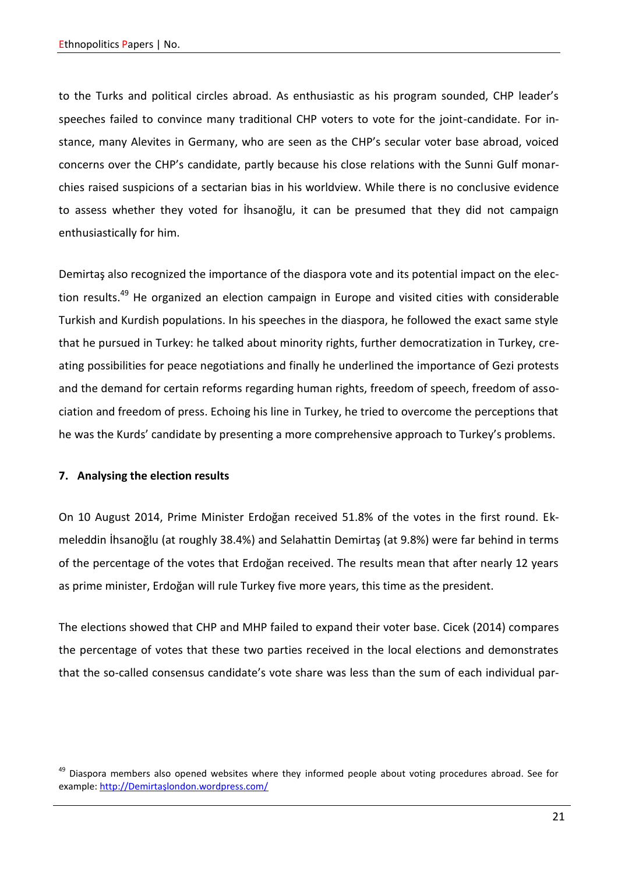to the Turks and political circles abroad. As enthusiastic as his program sounded, CHP leader's speeches failed to convince many traditional CHP voters to vote for the joint-candidate. For instance, many Alevites in Germany, who are seen as the CHP's secular voter base abroad, voiced concerns over the CHP's candidate, partly because his close relations with the Sunni Gulf monarchies raised suspicions of a sectarian bias in his worldview. While there is no conclusive evidence to assess whether they voted for İhsanoğlu, it can be presumed that they did not campaign enthusiastically for him.

Demirtaş also recognized the importance of the diaspora vote and its potential impact on the election results.<sup>49</sup> He organized an election campaign in Europe and visited cities with considerable Turkish and Kurdish populations. In his speeches in the diaspora, he followed the exact same style that he pursued in Turkey: he talked about minority rights, further democratization in Turkey, creating possibilities for peace negotiations and finally he underlined the importance of Gezi protests and the demand for certain reforms regarding human rights, freedom of speech, freedom of association and freedom of press. Echoing his line in Turkey, he tried to overcome the perceptions that he was the Kurds' candidate by presenting a more comprehensive approach to Turkey's problems.

### **7. Analysing the election results**

On 10 August 2014, Prime Minister Erdoğan received 51.8% of the votes in the first round. Ekmeleddin İhsanoğlu (at roughly 38.4%) and Selahattin Demirtaş (at 9.8%) were far behind in terms of the percentage of the votes that Erdoğan received. The results mean that after nearly 12 years as prime minister, Erdoğan will rule Turkey five more years, this time as the president.

The elections showed that CHP and MHP failed to expand their voter base. Cicek (2014) compares the percentage of votes that these two parties received in the local elections and demonstrates that the so-called consensus candidate's vote share was less than the sum of each individual par-

<sup>&</sup>lt;sup>49</sup> Diaspora members also opened websites where they informed people about voting procedures abroad. See for example: [http://Demirtaşlondon.wordpress.com/](http://demirtaşlondon.wordpress.com/)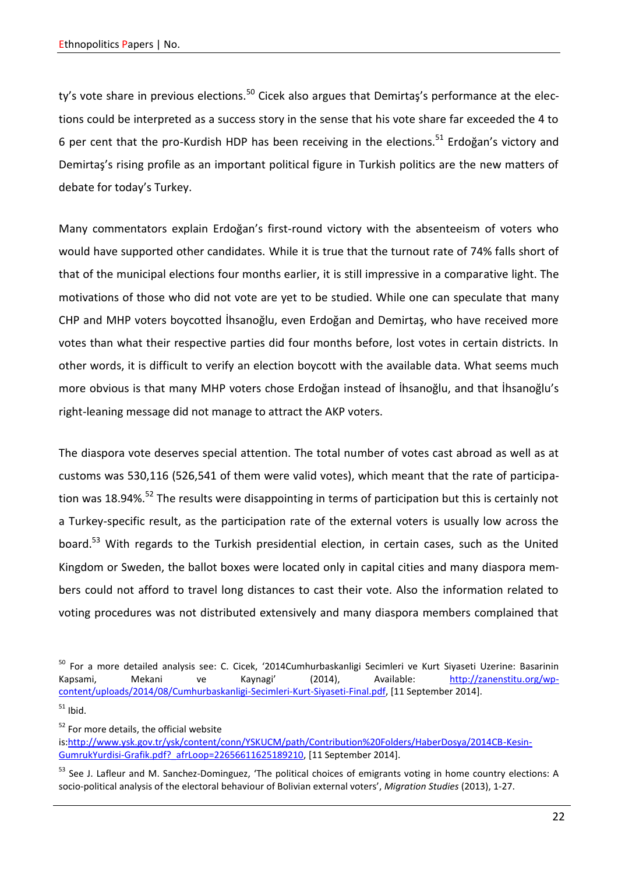ty's vote share in previous elections.<sup>50</sup> Cicek also argues that Demirtas's performance at the elections could be interpreted as a success story in the sense that his vote share far exceeded the 4 to 6 per cent that the pro-Kurdish HDP has been receiving in the elections.<sup>51</sup> Erdoğan's victory and Demirtaş's rising profile as an important political figure in Turkish politics are the new matters of debate for today's Turkey.

Many commentators explain Erdoğan's first-round victory with the absenteeism of voters who would have supported other candidates. While it is true that the turnout rate of 74% falls short of that of the municipal elections four months earlier, it is still impressive in a comparative light. The motivations of those who did not vote are yet to be studied. While one can speculate that many CHP and MHP voters boycotted İhsanoğlu, even Erdoğan and Demirtaş, who have received more votes than what their respective parties did four months before, lost votes in certain districts. In other words, it is difficult to verify an election boycott with the available data. What seems much more obvious is that many MHP voters chose Erdoğan instead of İhsanoğlu, and that İhsanoğlu's right-leaning message did not manage to attract the AKP voters.

The diaspora vote deserves special attention. The total number of votes cast abroad as well as at customs was 530,116 (526,541 of them were valid votes), which meant that the rate of participation was 18.94%.<sup>52</sup> The results were disappointing in terms of participation but this is certainly not a Turkey-specific result, as the participation rate of the external voters is usually low across the board.<sup>53</sup> With regards to the Turkish presidential election, in certain cases, such as the United Kingdom or Sweden, the ballot boxes were located only in capital cities and many diaspora members could not afford to travel long distances to cast their vote. Also the information related to voting procedures was not distributed extensively and many diaspora members complained that

<sup>52</sup> For more details, the official website

<sup>&</sup>lt;sup>50</sup> For a more detailed analysis see: C. Cicek, '2014Cumhurbaskanligi Secimleri ve Kurt Siyaseti Uzerine: Basarinin Kapsami, Mekani ve Kaynagi' (2014), Available: [http://zanenstitu.org/wp](http://zanenstitu.org/wp-content/uploads/2014/08/Cumhurbaskanligi-Secimleri-Kurt-Siyaseti-Final.pdf)[content/uploads/2014/08/Cumhurbaskanligi-Secimleri-Kurt-Siyaseti-Final.pdf,](http://zanenstitu.org/wp-content/uploads/2014/08/Cumhurbaskanligi-Secimleri-Kurt-Siyaseti-Final.pdf) [11 September 2014].  $51$  Ibid.

is[:http://www.ysk.gov.tr/ysk/content/conn/YSKUCM/path/Contribution%20Folders/HaberDosya/2014CB-Kesin-](http://www.ysk.gov.tr/ysk/content/conn/YSKUCM/path/Contribution%20Folders/HaberDosya/2014CB-Kesin-GumrukYurdisi-Grafik.pdf?_afrLoop=22656611625189210)[GumrukYurdisi-Grafik.pdf?\\_afrLoop=22656611625189210,](http://www.ysk.gov.tr/ysk/content/conn/YSKUCM/path/Contribution%20Folders/HaberDosya/2014CB-Kesin-GumrukYurdisi-Grafik.pdf?_afrLoop=22656611625189210) [11 September 2014].

<sup>&</sup>lt;sup>53</sup> See J. Lafleur and M. Sanchez-Dominguez, 'The political choices of emigrants voting in home country elections: A socio-political analysis of the electoral behaviour of Bolivian external voters', *Migration Studies* (2013), 1-27.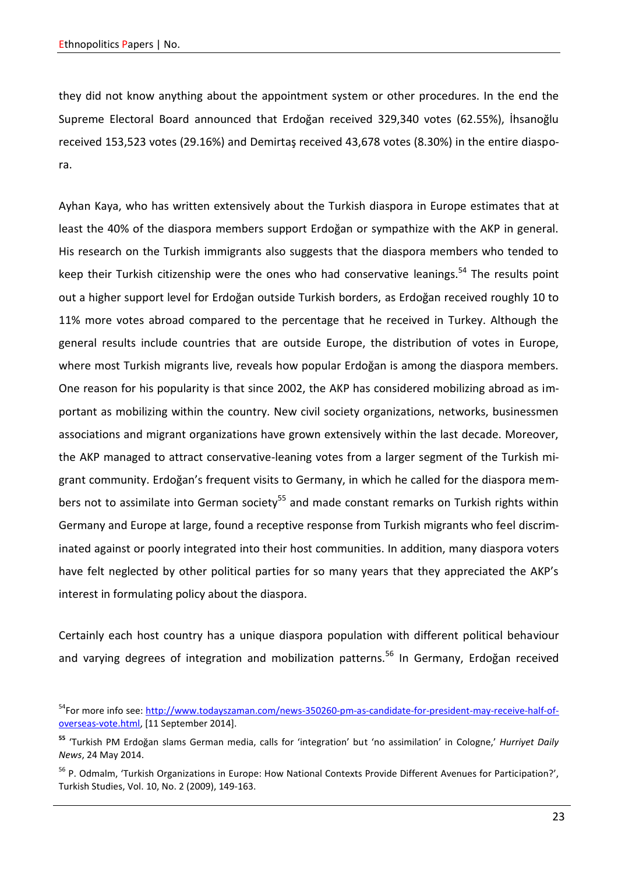they did not know anything about the appointment system or other procedures. In the end the Supreme Electoral Board announced that Erdoğan received 329,340 votes (62.55%), İhsanoğlu received 153,523 votes (29.16%) and Demirtaş received 43,678 votes (8.30%) in the entire diaspora.

Ayhan Kaya, who has written extensively about the Turkish diaspora in Europe estimates that at least the 40% of the diaspora members support Erdoğan or sympathize with the AKP in general. His research on the Turkish immigrants also suggests that the diaspora members who tended to keep their Turkish citizenship were the ones who had conservative leanings.<sup>54</sup> The results point out a higher support level for Erdoğan outside Turkish borders, as Erdoğan received roughly 10 to 11% more votes abroad compared to the percentage that he received in Turkey. Although the general results include countries that are outside Europe, the distribution of votes in Europe, where most Turkish migrants live, reveals how popular Erdoğan is among the diaspora members. One reason for his popularity is that since 2002, the AKP has considered mobilizing abroad as important as mobilizing within the country. New civil society organizations, networks, businessmen associations and migrant organizations have grown extensively within the last decade. Moreover, the AKP managed to attract conservative-leaning votes from a larger segment of the Turkish migrant community. Erdoğan's frequent visits to Germany, in which he called for the diaspora members not to assimilate into German society<sup>55</sup> and made constant remarks on Turkish rights within Germany and Europe at large, found a receptive response from Turkish migrants who feel discriminated against or poorly integrated into their host communities. In addition, many diaspora voters have felt neglected by other political parties for so many years that they appreciated the AKP's interest in formulating policy about the diaspora.

Certainly each host country has a unique diaspora population with different political behaviour and varying degrees of integration and mobilization patterns.<sup>56</sup> In Germany, Erdoğan received

<sup>&</sup>lt;sup>54</sup>For more info see: [http://www.todayszaman.com/news-350260-pm-as-candidate-for-president-may-receive-half-of](http://www.todayszaman.com/news-350260-pm-as-candidate-for-president-may-receive-half-of-overseas-vote.html)[overseas-vote.html,](http://www.todayszaman.com/news-350260-pm-as-candidate-for-president-may-receive-half-of-overseas-vote.html) [11 September 2014].

**<sup>55</sup>** 'Turkish PM Erdoğan slams German media, calls for 'integration' but 'no assimilation' in Cologne,' *Hurriyet Daily News*, 24 May 2014.

<sup>&</sup>lt;sup>56</sup> P. Odmalm, 'Turkish Organizations in Europe: How National Contexts Provide Different Avenues for Participation?', Turkish Studies, Vol. 10, No. 2 (2009), 149-163.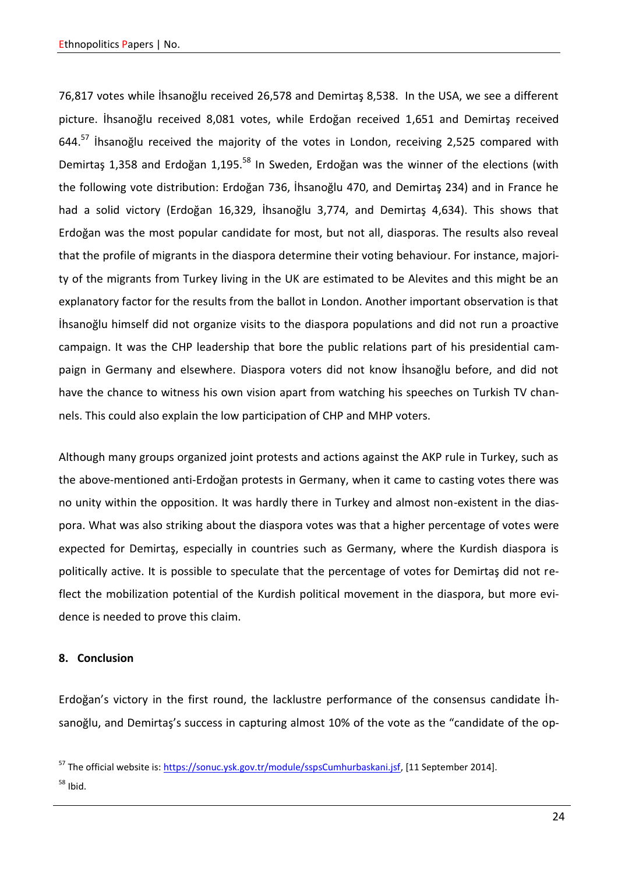76,817 votes while İhsanoğlu received 26,578 and Demirtaş 8,538. In the USA, we see a different picture. İhsanoğlu received 8,081 votes, while Erdoğan received 1,651 and Demirtaş received 644.<sup>57</sup> Ihsanoğlu received the majority of the votes in London, receiving 2,525 compared with Demirtas 1,358 and Erdoğan 1,195.<sup>58</sup> In Sweden, Erdoğan was the winner of the elections (with the following vote distribution: Erdoğan 736, İhsanoğlu 470, and Demirtaş 234) and in France he had a solid victory (Erdoğan 16,329, İhsanoğlu 3,774, and Demirtaş 4,634). This shows that Erdoğan was the most popular candidate for most, but not all, diasporas. The results also reveal that the profile of migrants in the diaspora determine their voting behaviour. For instance, majority of the migrants from Turkey living in the UK are estimated to be Alevites and this might be an explanatory factor for the results from the ballot in London. Another important observation is that İhsanoğlu himself did not organize visits to the diaspora populations and did not run a proactive campaign. It was the CHP leadership that bore the public relations part of his presidential campaign in Germany and elsewhere. Diaspora voters did not know İhsanoğlu before, and did not have the chance to witness his own vision apart from watching his speeches on Turkish TV channels. This could also explain the low participation of CHP and MHP voters.

Although many groups organized joint protests and actions against the AKP rule in Turkey, such as the above-mentioned anti-Erdoğan protests in Germany, when it came to casting votes there was no unity within the opposition. It was hardly there in Turkey and almost non-existent in the diaspora. What was also striking about the diaspora votes was that a higher percentage of votes were expected for Demirtaş, especially in countries such as Germany, where the Kurdish diaspora is politically active. It is possible to speculate that the percentage of votes for Demirtaş did not reflect the mobilization potential of the Kurdish political movement in the diaspora, but more evidence is needed to prove this claim.

# **8. Conclusion**

Erdoğan's victory in the first round, the lacklustre performance of the consensus candidate İhsanoğlu, and Demirtaş's success in capturing almost 10% of the vote as the "candidate of the op-

<sup>&</sup>lt;sup>57</sup> The official website is: [https://sonuc.ysk.gov.tr/module/sspsCumhurbaskani.jsf,](https://sonuc.ysk.gov.tr/module/sspsCumhurbaskani.jsf) [11 September 2014].  $58$  Ibid.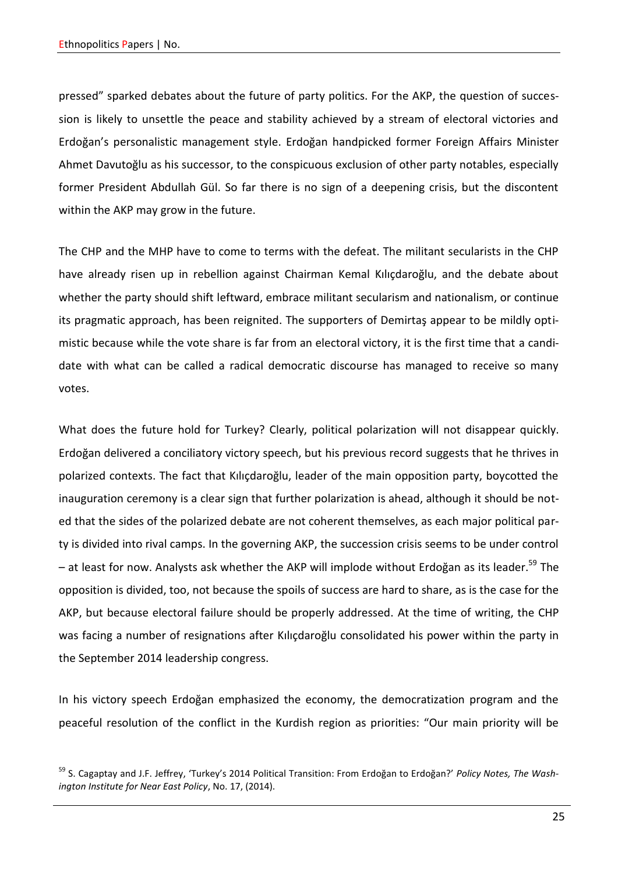pressed" sparked debates about the future of party politics. For the AKP, the question of succession is likely to unsettle the peace and stability achieved by a stream of electoral victories and Erdoğan's personalistic management style. Erdoğan handpicked former Foreign Affairs Minister Ahmet Davutoğlu as his successor, to the conspicuous exclusion of other party notables, especially former President Abdullah Gül. So far there is no sign of a deepening crisis, but the discontent within the AKP may grow in the future.

The CHP and the MHP have to come to terms with the defeat. The militant secularists in the CHP have already risen up in rebellion against Chairman Kemal Kılıçdaroğlu, and the debate about whether the party should shift leftward, embrace militant secularism and nationalism, or continue its pragmatic approach, has been reignited. The supporters of Demirtaş appear to be mildly optimistic because while the vote share is far from an electoral victory, it is the first time that a candidate with what can be called a radical democratic discourse has managed to receive so many votes.

What does the future hold for Turkey? Clearly, political polarization will not disappear quickly. Erdoğan delivered a conciliatory victory speech, but his previous record suggests that he thrives in polarized contexts. The fact that Kılıçdaroğlu, leader of the main opposition party, boycotted the inauguration ceremony is a clear sign that further polarization is ahead, although it should be noted that the sides of the polarized debate are not coherent themselves, as each major political party is divided into rival camps. In the governing AKP, the succession crisis seems to be under control  $-$  at least for now. Analysts ask whether the AKP will implode without Erdoğan as its leader.<sup>59</sup> The opposition is divided, too, not because the spoils of success are hard to share, as is the case for the AKP, but because electoral failure should be properly addressed. At the time of writing, the CHP was facing a number of resignations after Kılıçdaroğlu consolidated his power within the party in the September 2014 leadership congress.

In his victory speech Erdoğan emphasized the economy, the democratization program and the peaceful resolution of the conflict in the Kurdish region as priorities: "Our main priority will be

<sup>59</sup> S. Cagaptay and J.F. Jeffrey, 'Turkey's 2014 Political Transition: From Erdoğan to Erdoğan?' *Policy Notes, The Washington Institute for Near East Policy*, No. 17, (2014).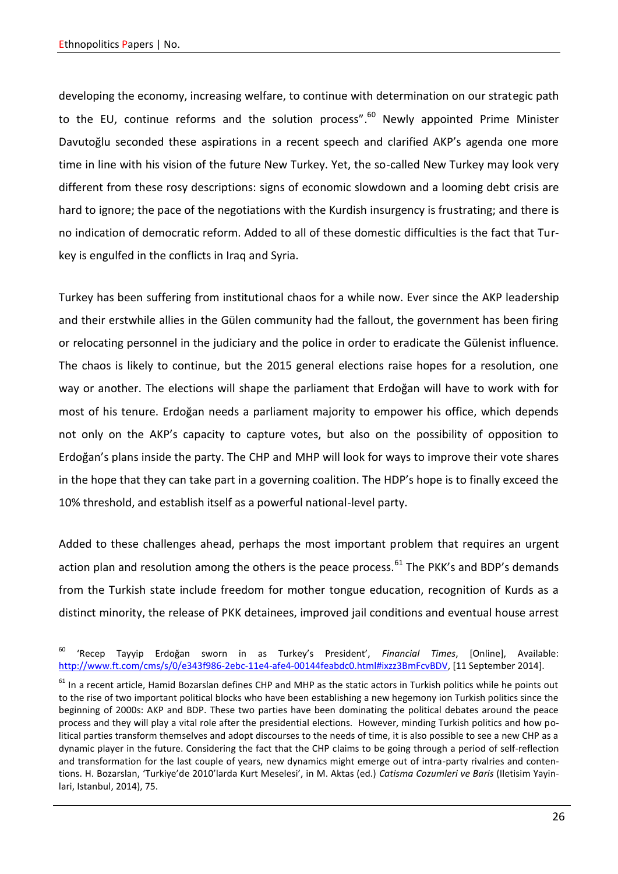developing the economy, increasing welfare, to continue with determination on our strategic path to the EU, continue reforms and the solution process".<sup>60</sup> Newly appointed Prime Minister Davutoğlu seconded these aspirations in a recent speech and clarified AKP's agenda one more time in line with his vision of the future New Turkey. Yet, the so-called New Turkey may look very different from these rosy descriptions: signs of economic slowdown and a looming debt crisis are hard to ignore; the pace of the negotiations with the Kurdish insurgency is frustrating; and there is no indication of democratic reform. Added to all of these domestic difficulties is the fact that Turkey is engulfed in the conflicts in Iraq and Syria.

Turkey has been suffering from institutional chaos for a while now. Ever since the AKP leadership and their erstwhile allies in the Gülen community had the fallout, the government has been firing or relocating personnel in the judiciary and the police in order to eradicate the Gülenist influence. The chaos is likely to continue, but the 2015 general elections raise hopes for a resolution, one way or another. The elections will shape the parliament that Erdoğan will have to work with for most of his tenure. Erdoğan needs a parliament majority to empower his office, which depends not only on the AKP's capacity to capture votes, but also on the possibility of opposition to Erdoğan's plans inside the party. The CHP and MHP will look for ways to improve their vote shares in the hope that they can take part in a governing coalition. The HDP's hope is to finally exceed the 10% threshold, and establish itself as a powerful national-level party.

Added to these challenges ahead, perhaps the most important problem that requires an urgent action plan and resolution among the others is the peace process.<sup>61</sup> The PKK's and BDP's demands from the Turkish state include freedom for mother tongue education, recognition of Kurds as a distinct minority, the release of PKK detainees, improved jail conditions and eventual house arrest

<sup>60</sup> 'Recep Tayyip Erdoğan sworn in as Turkey's President', *Financial Times*, [Online], Available: [http://www.ft.com/cms/s/0/e343f986-2ebc-11e4-afe4-00144feabdc0.html#ixzz3BmFcvBDV,](http://www.ft.com/cms/s/0/e343f986-2ebc-11e4-afe4-00144feabdc0.html%23ixzz3BmFcvBDV) [11 September 2014].

 $61$  In a recent article, Hamid Bozarslan defines CHP and MHP as the static actors in Turkish politics while he points out to the rise of two important political blocks who have been establishing a new hegemony ion Turkish politics since the beginning of 2000s: AKP and BDP. These two parties have been dominating the political debates around the peace process and they will play a vital role after the presidential elections. However, minding Turkish politics and how political parties transform themselves and adopt discourses to the needs of time, it is also possible to see a new CHP as a dynamic player in the future. Considering the fact that the CHP claims to be going through a period of self-reflection and transformation for the last couple of years, new dynamics might emerge out of intra-party rivalries and contentions. H. Bozarslan, 'Turkiye'de 2010'larda Kurt Meselesi', in M. Aktas (ed.) *Catisma Cozumleri ve Baris* (Iletisim Yayinlari, Istanbul, 2014), 75.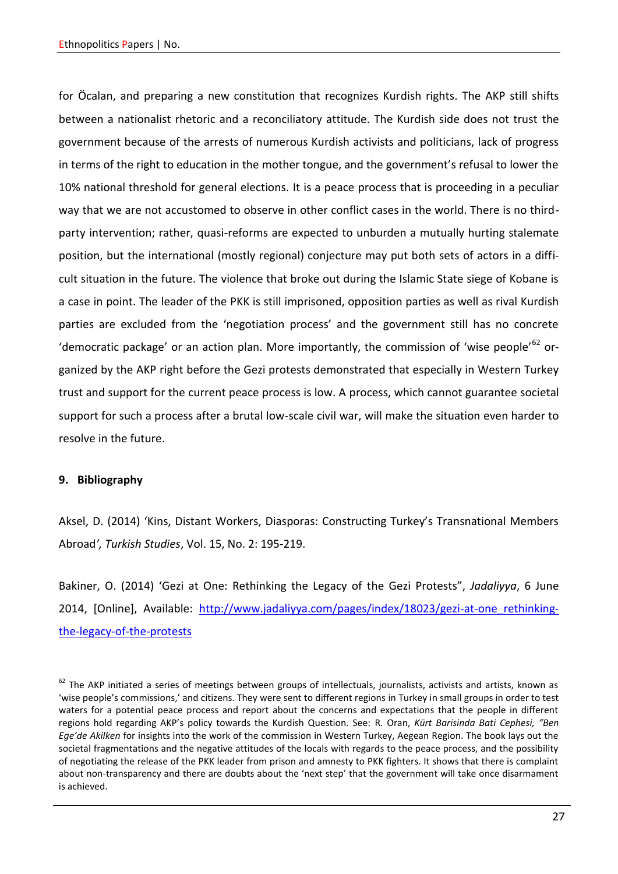for Öcalan, and preparing a new constitution that recognizes Kurdish rights. The AKP still shifts between a nationalist rhetoric and a reconciliatory attitude. The Kurdish side does not trust the government because of the arrests of numerous Kurdish activists and politicians, lack of progress in terms of the right to education in the mother tongue, and the government's refusal to lower the 10% national threshold for general elections. It is a peace process that is proceeding in a peculiar way that we are not accustomed to observe in other conflict cases in the world. There is no thirdparty intervention; rather, quasi-reforms are expected to unburden a mutually hurting stalemate position, but the international (mostly regional) conjecture may put both sets of actors in a difficult situation in the future. The violence that broke out during the Islamic State siege of Kobane is a case in point. The leader of the PKK is still imprisoned, opposition parties as well as rival Kurdish parties are excluded from the 'negotiation process' and the government still has no concrete 'democratic package' or an action plan. More importantly, the commission of 'wise people'<sup>62</sup> organized by the AKP right before the Gezi protests demonstrated that especially in Western Turkey trust and support for the current peace process is low. A process, which cannot guarantee societal support for such a process after a brutal low-scale civil war, will make the situation even harder to resolve in the future.

### **9. Bibliography**

Aksel, D. (2014) 'Kins, Distant Workers, Diasporas: Constructing Turkey's Transnational Members Abroad*', Turkish Studies*, Vol. 15, No. 2: 195-219.

Bakiner, O. (2014) 'Gezi at One: Rethinking the Legacy of the Gezi Protests", *Jadaliyya*, 6 June 2014, [Online], Available: [http://www.jadaliyya.com/pages/index/18023/gezi-at-one\\_rethinking](http://www.jadaliyya.com/pages/index/18023/gezi-at-one_rethinking-the-legacy-of-the-protests)[the-legacy-of-the-protests](http://www.jadaliyya.com/pages/index/18023/gezi-at-one_rethinking-the-legacy-of-the-protests)

 $62$  The AKP initiated a series of meetings between groups of intellectuals, journalists, activists and artists, known as 'wise people's commissions,' and citizens. They were sent to different regions in Turkey in small groups in order to test waters for a potential peace process and report about the concerns and expectations that the people in different regions hold regarding AKP's policy towards the Kurdish Question. See: R. Oran, *Kürt Barisinda Bati Cephesi, "Ben Ege'de Akilken* for insights into the work of the commission in Western Turkey, Aegean Region. The book lays out the societal fragmentations and the negative attitudes of the locals with regards to the peace process, and the possibility of negotiating the release of the PKK leader from prison and amnesty to PKK fighters. It shows that there is complaint about non-transparency and there are doubts about the 'next step' that the government will take once disarmament is achieved.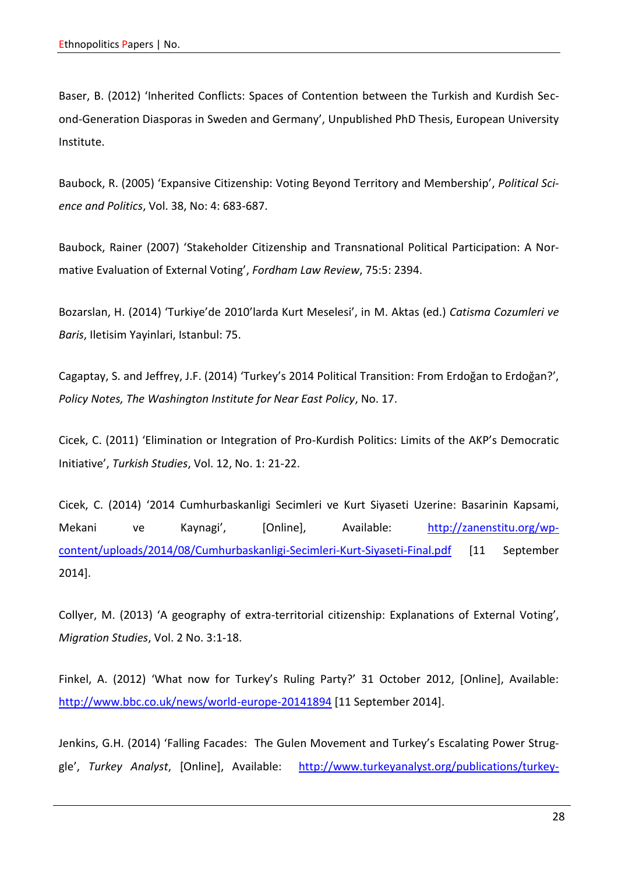Baser, B. (2012) 'Inherited Conflicts: Spaces of Contention between the Turkish and Kurdish Second-Generation Diasporas in Sweden and Germany', Unpublished PhD Thesis, European University Institute.

Baubock, R. (2005) 'Expansive Citizenship: Voting Beyond Territory and Membership', *Political Science and Politics*, Vol. 38, No: 4: 683-687.

Baubock, Rainer (2007) 'Stakeholder Citizenship and Transnational Political Participation: A Normative Evaluation of External Voting', *Fordham Law Review*, 75:5: 2394.

Bozarslan, H. (2014) 'Turkiye'de 2010'larda Kurt Meselesi', in M. Aktas (ed.) *Catisma Cozumleri ve Baris*, Iletisim Yayinlari, Istanbul: 75.

Cagaptay, S. and Jeffrey, J.F. (2014) 'Turkey's 2014 Political Transition: From Erdoğan to Erdoğan?', *Policy Notes, The Washington Institute for Near East Policy*, No. 17.

Cicek, C. (2011) 'Elimination or Integration of Pro-Kurdish Politics: Limits of the AKP's Democratic Initiative', *Turkish Studies*, Vol. 12, No. 1: 21-22.

Cicek, C. (2014) '2014 Cumhurbaskanligi Secimleri ve Kurt Siyaseti Uzerine: Basarinin Kapsami, Mekani ve Kaynagi', [Online], Available: [http://zanenstitu.org/wp](http://zanenstitu.org/wp-content/uploads/2014/08/Cumhurbaskanligi-Secimleri-Kurt-Siyaseti-Final.pdf)[content/uploads/2014/08/Cumhurbaskanligi-Secimleri-Kurt-Siyaseti-Final.pdf](http://zanenstitu.org/wp-content/uploads/2014/08/Cumhurbaskanligi-Secimleri-Kurt-Siyaseti-Final.pdf) [11 September 2014].

Collyer, M. (2013) 'A geography of extra-territorial citizenship: Explanations of External Voting', *Migration Studies*, Vol. 2 No. 3:1-18.

Finkel, A. (2012) 'What now for Turkey's Ruling Party?' 31 October 2012, [Online], Available: <http://www.bbc.co.uk/news/world-europe-20141894> [11 September 2014].

Jenkins, G.H. (2014) 'Falling Facades: The Gulen Movement and Turkey's Escalating Power Struggle', *Turkey Analyst*, [Online], Available: [http://www.turkeyanalyst.org/publications/turkey-](http://www.turkeyanalyst.org/publications/turkey-analyst-articles/item/81-falling-facades-the-g%C3%BClen-movement-and-turkeys-escalating-power-struggle.html)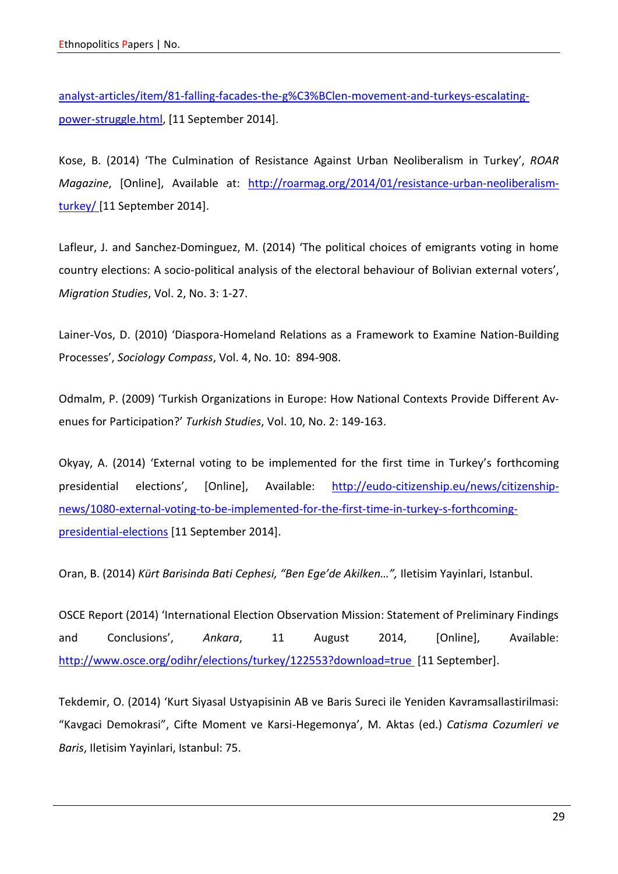[analyst-articles/item/81-falling-facades-the-g%C3%BClen-movement-and-turkeys-escalating](http://www.turkeyanalyst.org/publications/turkey-analyst-articles/item/81-falling-facades-the-g%C3%BClen-movement-and-turkeys-escalating-power-struggle.html)[power-struggle.html,](http://www.turkeyanalyst.org/publications/turkey-analyst-articles/item/81-falling-facades-the-g%C3%BClen-movement-and-turkeys-escalating-power-struggle.html) [11 September 2014].

Kose, B. (2014) 'The Culmination of Resistance Against Urban Neoliberalism in Turkey', *ROAR Magazine*, [Online], Available at: [http://roarmag.org/2014/01/resistance-urban-neoliberalism](http://roarmag.org/2014/01/resistance-urban-neoliberalism-turkey/)[turkey/](http://roarmag.org/2014/01/resistance-urban-neoliberalism-turkey/) [11 September 2014].

Lafleur, J. and Sanchez-Dominguez, M. (2014) 'The political choices of emigrants voting in home country elections: A socio-political analysis of the electoral behaviour of Bolivian external voters', *Migration Studies*, Vol. 2, No. 3: 1-27.

Lainer-Vos, D. (2010) 'Diaspora-Homeland Relations as a Framework to Examine Nation-Building Processes', *Sociology Compass*, Vol. 4, No. 10: 894-908.

Odmalm, P. (2009) 'Turkish Organizations in Europe: How National Contexts Provide Different Avenues for Participation?' *Turkish Studies*, Vol. 10, No. 2: 149-163.

Okyay, A. (2014) ['External voting to be implemented for the first time in Turkey's](http://eudo-citizenship.eu/news/citizenship-news/1080-external-voting-to-be-implemented-for-the-first-time-in-turkey-s-forthcoming-presidential-elections) forthcoming [presidential elections](http://eudo-citizenship.eu/news/citizenship-news/1080-external-voting-to-be-implemented-for-the-first-time-in-turkey-s-forthcoming-presidential-elections)', [Online], Available: [http://eudo-citizenship.eu/news/citizenship](http://eudo-citizenship.eu/news/citizenship-news/1080-external-voting-to-be-implemented-for-the-first-time-in-turkey-s-forthcoming-presidential-elections)[news/1080-external-voting-to-be-implemented-for-the-first-time-in-turkey-s-forthcoming](http://eudo-citizenship.eu/news/citizenship-news/1080-external-voting-to-be-implemented-for-the-first-time-in-turkey-s-forthcoming-presidential-elections)[presidential-elections](http://eudo-citizenship.eu/news/citizenship-news/1080-external-voting-to-be-implemented-for-the-first-time-in-turkey-s-forthcoming-presidential-elections) [11 September 2014].

Oran, B. (2014) *Kürt Barisinda Bati Cephesi, "Ben Ege'de Akilken…",* Iletisim Yayinlari, Istanbul.

OSCE Report (2014) 'International Election Observation Mission: Statement of Preliminary Findings and Conclusions', *Ankara*, 11 August 2014, [Online], Available: <http://www.osce.org/odihr/elections/turkey/122553?download=true> [11 September].

Tekdemir, O. (2014) 'Kurt Siyasal Ustyapisinin AB ve Baris Sureci ile Yeniden Kavramsallastirilmasi: "Kavgaci Demokrasi", Cifte Moment ve Karsi-Hegemonya', M. Aktas (ed.) *Catisma Cozumleri ve Baris*, Iletisim Yayinlari, Istanbul: 75.